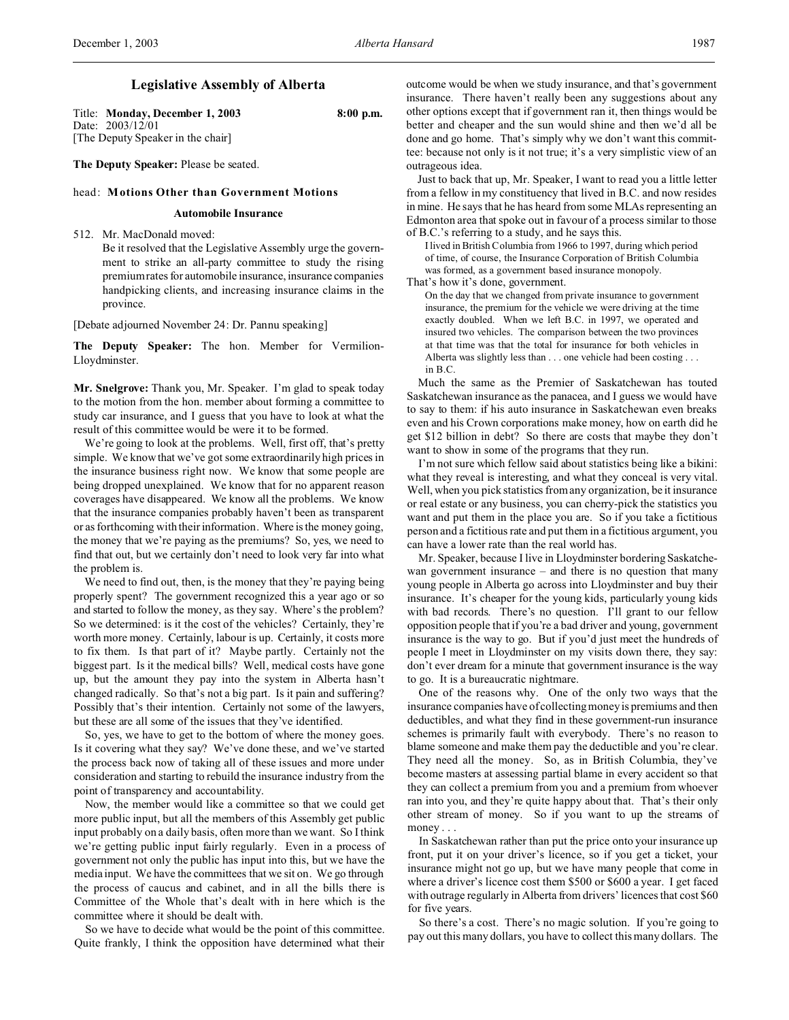# **Legislative Assembly of Alberta**

Title: **Monday, December 1, 2003 8:00 p.m.** Date: 2003/12/01 [The Deputy Speaker in the chair]

**The Deputy Speaker:** Please be seated.

### head: **Motions Other than Government Motions**

#### **Automobile Insurance**

512. Mr. MacDonald moved:

Be it resolved that the Legislative Assembly urge the government to strike an all-party committee to study the rising premium rates for automobile insurance, insurance companies handpicking clients, and increasing insurance claims in the province.

[Debate adjourned November 24: Dr. Pannu speaking]

**The Deputy Speaker:** The hon. Member for Vermilion-Lloydminster.

**Mr. Snelgrove:** Thank you, Mr. Speaker. I'm glad to speak today to the motion from the hon. member about forming a committee to study car insurance, and I guess that you have to look at what the result of this committee would be were it to be formed.

We're going to look at the problems. Well, first off, that's pretty simple. We know that we've got some extraordinarily high prices in the insurance business right now. We know that some people are being dropped unexplained. We know that for no apparent reason coverages have disappeared. We know all the problems. We know that the insurance companies probably haven't been as transparent or as forthcoming with their information. Where is the money going, the money that we're paying as the premiums? So, yes, we need to find that out, but we certainly don't need to look very far into what the problem is.

We need to find out, then, is the money that they're paying being properly spent? The government recognized this a year ago or so and started to follow the money, as they say. Where's the problem? So we determined: is it the cost of the vehicles? Certainly, they're worth more money. Certainly, labour is up. Certainly, it costs more to fix them. Is that part of it? Maybe partly. Certainly not the biggest part. Is it the medical bills? Well, medical costs have gone up, but the amount they pay into the system in Alberta hasn't changed radically. So that's not a big part. Is it pain and suffering? Possibly that's their intention. Certainly not some of the lawyers, but these are all some of the issues that they've identified.

So, yes, we have to get to the bottom of where the money goes. Is it covering what they say? We've done these, and we've started the process back now of taking all of these issues and more under consideration and starting to rebuild the insurance industry from the point of transparency and accountability.

Now, the member would like a committee so that we could get more public input, but all the members of this Assembly get public input probably on a daily basis, often more than we want. So I think we're getting public input fairly regularly. Even in a process of government not only the public has input into this, but we have the media input. We have the committees that we sit on. We go through the process of caucus and cabinet, and in all the bills there is Committee of the Whole that's dealt with in here which is the committee where it should be dealt with.

So we have to decide what would be the point of this committee. Quite frankly, I think the opposition have determined what their

outcome would be when we study insurance, and that's government insurance. There haven't really been any suggestions about any other options except that if government ran it, then things would be better and cheaper and the sun would shine and then we'd all be done and go home. That's simply why we don't want this committee: because not only is it not true; it's a very simplistic view of an outrageous idea.

Just to back that up, Mr. Speaker, I want to read you a little letter from a fellow in my constituency that lived in B.C. and now resides in mine. He says that he has heard from some MLAs representing an Edmonton area that spoke out in favour of a process similar to those of B.C.'s referring to a study, and he says this.

I lived in British Columbia from 1966 to 1997, during which period of time, of course, the Insurance Corporation of British Columbia was formed, as a government based insurance monopoly.

That's how it's done, government.

On the day that we changed from private insurance to government insurance, the premium for the vehicle we were driving at the time exactly doubled. When we left B.C. in 1997, we operated and insured two vehicles. The comparison between the two provinces at that time was that the total for insurance for both vehicles in Alberta was slightly less than . . . one vehicle had been costing . . . in B.C.

Much the same as the Premier of Saskatchewan has touted Saskatchewan insurance as the panacea, and I guess we would have to say to them: if his auto insurance in Saskatchewan even breaks even and his Crown corporations make money, how on earth did he get \$12 billion in debt? So there are costs that maybe they don't want to show in some of the programs that they run.

I'm not sure which fellow said about statistics being like a bikini: what they reveal is interesting, and what they conceal is very vital. Well, when you pick statistics from any organization, be it insurance or real estate or any business, you can cherry-pick the statistics you want and put them in the place you are. So if you take a fictitious person and a fictitious rate and put them in a fictitious argument, you can have a lower rate than the real world has.

Mr. Speaker, because I live in Lloydminster bordering Saskatchewan government insurance – and there is no question that many young people in Alberta go across into Lloydminster and buy their insurance. It's cheaper for the young kids, particularly young kids with bad records. There's no question. I'll grant to our fellow opposition people that if you're a bad driver and young, government insurance is the way to go. But if you'd just meet the hundreds of people I meet in Lloydminster on my visits down there, they say: don't ever dream for a minute that government insurance is the way to go. It is a bureaucratic nightmare.

One of the reasons why. One of the only two ways that the insurance companies have of collecting money is premiums and then deductibles, and what they find in these government-run insurance schemes is primarily fault with everybody. There's no reason to blame someone and make them pay the deductible and you're clear. They need all the money. So, as in British Columbia, they've become masters at assessing partial blame in every accident so that they can collect a premium from you and a premium from whoever ran into you, and they're quite happy about that. That's their only other stream of money. So if you want to up the streams of money . . .

In Saskatchewan rather than put the price onto your insurance up front, put it on your driver's licence, so if you get a ticket, your insurance might not go up, but we have many people that come in where a driver's licence cost them \$500 or \$600 a year. I get faced with outrage regularly in Alberta from drivers' licences that cost \$60 for five years.

So there's a cost. There's no magic solution. If you're going to pay out this many dollars, you have to collect this many dollars. The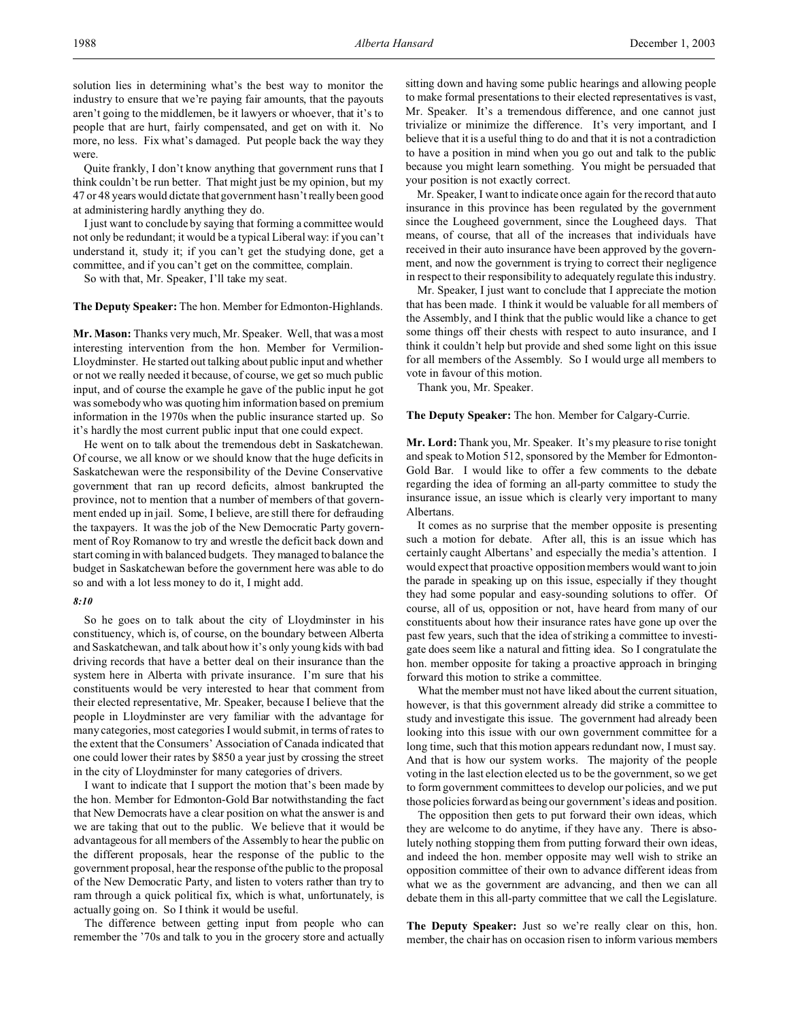solution lies in determining what's the best way to monitor the industry to ensure that we're paying fair amounts, that the payouts aren't going to the middlemen, be it lawyers or whoever, that it's to people that are hurt, fairly compensated, and get on with it. No more, no less. Fix what's damaged. Put people back the way they were.

Quite frankly, I don't know anything that government runs that I think couldn't be run better. That might just be my opinion, but my 47 or 48 years would dictate that government hasn't really been good at administering hardly anything they do.

I just want to conclude by saying that forming a committee would not only be redundant; it would be a typical Liberal way: if you can't understand it, study it; if you can't get the studying done, get a committee, and if you can't get on the committee, complain.

So with that, Mr. Speaker, I'll take my seat.

**The Deputy Speaker:** The hon. Member for Edmonton-Highlands.

**Mr. Mason:** Thanks very much, Mr. Speaker. Well, that was a most interesting intervention from the hon. Member for Vermilion-Lloydminster. He started out talking about public input and whether or not we really needed it because, of course, we get so much public input, and of course the example he gave of the public input he got was somebody who was quoting him information based on premium information in the 1970s when the public insurance started up. So it's hardly the most current public input that one could expect.

He went on to talk about the tremendous debt in Saskatchewan. Of course, we all know or we should know that the huge deficits in Saskatchewan were the responsibility of the Devine Conservative government that ran up record deficits, almost bankrupted the province, not to mention that a number of members of that government ended up in jail. Some, I believe, are still there for defrauding the taxpayers. It was the job of the New Democratic Party government of Roy Romanow to try and wrestle the deficit back down and start coming in with balanced budgets. They managed to balance the budget in Saskatchewan before the government here was able to do so and with a lot less money to do it, I might add.

## *8:10*

So he goes on to talk about the city of Lloydminster in his constituency, which is, of course, on the boundary between Alberta and Saskatchewan, and talk about how it's only young kids with bad driving records that have a better deal on their insurance than the system here in Alberta with private insurance. I'm sure that his constituents would be very interested to hear that comment from their elected representative, Mr. Speaker, because I believe that the people in Lloydminster are very familiar with the advantage for many categories, most categories I would submit, in terms of rates to the extent that the Consumers' Association of Canada indicated that one could lower their rates by \$850 a year just by crossing the street in the city of Lloydminster for many categories of drivers.

I want to indicate that I support the motion that's been made by the hon. Member for Edmonton-Gold Bar notwithstanding the fact that New Democrats have a clear position on what the answer is and we are taking that out to the public. We believe that it would be advantageous for all members of the Assembly to hear the public on the different proposals, hear the response of the public to the government proposal, hear the response of the public to the proposal of the New Democratic Party, and listen to voters rather than try to ram through a quick political fix, which is what, unfortunately, is actually going on. So I think it would be useful.

The difference between getting input from people who can remember the '70s and talk to you in the grocery store and actually sitting down and having some public hearings and allowing people to make formal presentations to their elected representatives is vast, Mr. Speaker. It's a tremendous difference, and one cannot just trivialize or minimize the difference. It's very important, and I believe that it is a useful thing to do and that it is not a contradiction to have a position in mind when you go out and talk to the public because you might learn something. You might be persuaded that your position is not exactly correct.

Mr. Speaker, I want to indicate once again for the record that auto insurance in this province has been regulated by the government since the Lougheed government, since the Lougheed days. That means, of course, that all of the increases that individuals have received in their auto insurance have been approved by the government, and now the government is trying to correct their negligence in respect to their responsibility to adequately regulate this industry.

Mr. Speaker, I just want to conclude that I appreciate the motion that has been made. I think it would be valuable for all members of the Assembly, and I think that the public would like a chance to get some things off their chests with respect to auto insurance, and I think it couldn't help but provide and shed some light on this issue for all members of the Assembly. So I would urge all members to vote in favour of this motion.

Thank you, Mr. Speaker.

**The Deputy Speaker:** The hon. Member for Calgary-Currie.

**Mr. Lord:**Thank you, Mr. Speaker. It's my pleasure to rise tonight and speak to Motion 512, sponsored by the Member for Edmonton-Gold Bar. I would like to offer a few comments to the debate regarding the idea of forming an all-party committee to study the insurance issue, an issue which is clearly very important to many Albertans.

It comes as no surprise that the member opposite is presenting such a motion for debate. After all, this is an issue which has certainly caught Albertans' and especially the media's attention. I would expect that proactive opposition members would want to join the parade in speaking up on this issue, especially if they thought they had some popular and easy-sounding solutions to offer. Of course, all of us, opposition or not, have heard from many of our constituents about how their insurance rates have gone up over the past few years, such that the idea of striking a committee to investigate does seem like a natural and fitting idea. So I congratulate the hon. member opposite for taking a proactive approach in bringing forward this motion to strike a committee.

What the member must not have liked about the current situation, however, is that this government already did strike a committee to study and investigate this issue. The government had already been looking into this issue with our own government committee for a long time, such that this motion appears redundant now, I must say. And that is how our system works. The majority of the people voting in the last election elected us to be the government, so we get to form government committees to develop our policies, and we put those policies forward as being our government's ideas and position.

The opposition then gets to put forward their own ideas, which they are welcome to do anytime, if they have any. There is absolutely nothing stopping them from putting forward their own ideas, and indeed the hon. member opposite may well wish to strike an opposition committee of their own to advance different ideas from what we as the government are advancing, and then we can all debate them in this all-party committee that we call the Legislature.

**The Deputy Speaker:** Just so we're really clear on this, hon. member, the chair has on occasion risen to inform various members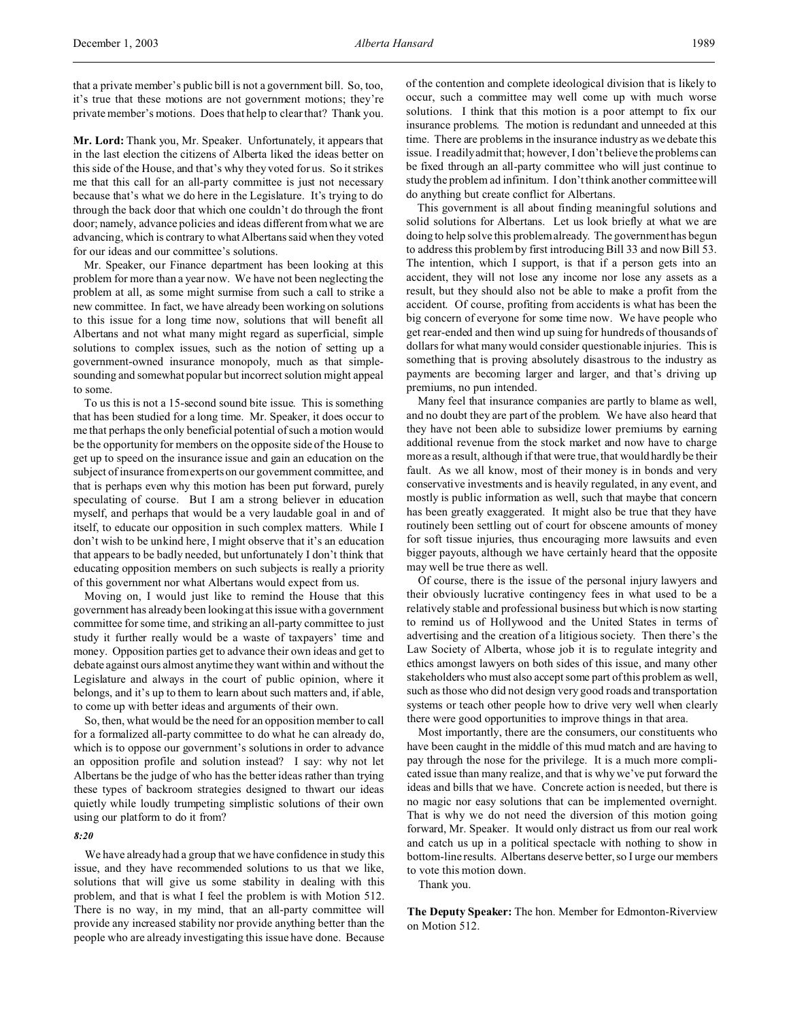that a private member's public bill is not a government bill. So, too, it's true that these motions are not government motions; they're private member's motions. Does that help to clear that? Thank you.

**Mr. Lord:** Thank you, Mr. Speaker. Unfortunately, it appears that in the last election the citizens of Alberta liked the ideas better on this side of the House, and that's why they voted for us. So it strikes me that this call for an all-party committee is just not necessary because that's what we do here in the Legislature. It's trying to do through the back door that which one couldn't do through the front door; namely, advance policies and ideas different from what we are advancing, which is contrary to what Albertans said when they voted for our ideas and our committee's solutions.

Mr. Speaker, our Finance department has been looking at this problem for more than a year now. We have not been neglecting the problem at all, as some might surmise from such a call to strike a new committee. In fact, we have already been working on solutions to this issue for a long time now, solutions that will benefit all Albertans and not what many might regard as superficial, simple solutions to complex issues, such as the notion of setting up a government-owned insurance monopoly, much as that simplesounding and somewhat popular but incorrect solution might appeal to some.

To us this is not a 15-second sound bite issue. This is something that has been studied for a long time. Mr. Speaker, it does occur to me that perhaps the only beneficial potential of such a motion would be the opportunity for members on the opposite side of the House to get up to speed on the insurance issue and gain an education on the subject of insurance from experts on our government committee, and that is perhaps even why this motion has been put forward, purely speculating of course. But I am a strong believer in education myself, and perhaps that would be a very laudable goal in and of itself, to educate our opposition in such complex matters. While I don't wish to be unkind here, I might observe that it's an education that appears to be badly needed, but unfortunately I don't think that educating opposition members on such subjects is really a priority of this government nor what Albertans would expect from us.

Moving on, I would just like to remind the House that this government has already been looking at this issue with a government committee for some time, and striking an all-party committee to just study it further really would be a waste of taxpayers' time and money. Opposition parties get to advance their own ideas and get to debate against ours almost anytime they want within and without the Legislature and always in the court of public opinion, where it belongs, and it's up to them to learn about such matters and, if able, to come up with better ideas and arguments of their own.

So, then, what would be the need for an opposition member to call for a formalized all-party committee to do what he can already do, which is to oppose our government's solutions in order to advance an opposition profile and solution instead? I say: why not let Albertans be the judge of who has the better ideas rather than trying these types of backroom strategies designed to thwart our ideas quietly while loudly trumpeting simplistic solutions of their own using our platform to do it from?

### *8:20*

We have already had a group that we have confidence in study this issue, and they have recommended solutions to us that we like, solutions that will give us some stability in dealing with this problem, and that is what I feel the problem is with Motion 512. There is no way, in my mind, that an all-party committee will provide any increased stability nor provide anything better than the people who are already investigating this issue have done. Because of the contention and complete ideological division that is likely to occur, such a committee may well come up with much worse solutions. I think that this motion is a poor attempt to fix our insurance problems. The motion is redundant and unneeded at this time. There are problems in the insurance industry as we debate this issue. I readily admit that; however, I don't believe the problems can be fixed through an all-party committee who will just continue to study the problem ad infinitum. I don't think another committee will do anything but create conflict for Albertans.

This government is all about finding meaningful solutions and solid solutions for Albertans. Let us look briefly at what we are doing to help solve this problem already. The government has begun to address this problem by first introducing Bill 33 and now Bill 53. The intention, which I support, is that if a person gets into an accident, they will not lose any income nor lose any assets as a result, but they should also not be able to make a profit from the accident. Of course, profiting from accidents is what has been the big concern of everyone for some time now. We have people who get rear-ended and then wind up suing for hundreds of thousands of dollars for what many would consider questionable injuries. This is something that is proving absolutely disastrous to the industry as payments are becoming larger and larger, and that's driving up premiums, no pun intended.

Many feel that insurance companies are partly to blame as well, and no doubt they are part of the problem. We have also heard that they have not been able to subsidize lower premiums by earning additional revenue from the stock market and now have to charge more as a result, although if that were true, that would hardly be their fault. As we all know, most of their money is in bonds and very conservative investments and is heavily regulated, in any event, and mostly is public information as well, such that maybe that concern has been greatly exaggerated. It might also be true that they have routinely been settling out of court for obscene amounts of money for soft tissue injuries, thus encouraging more lawsuits and even bigger payouts, although we have certainly heard that the opposite may well be true there as well.

Of course, there is the issue of the personal injury lawyers and their obviously lucrative contingency fees in what used to be a relatively stable and professional business but which is now starting to remind us of Hollywood and the United States in terms of advertising and the creation of a litigious society. Then there's the Law Society of Alberta, whose job it is to regulate integrity and ethics amongst lawyers on both sides of this issue, and many other stakeholders who must also accept some part of this problem as well, such as those who did not design very good roads and transportation systems or teach other people how to drive very well when clearly there were good opportunities to improve things in that area.

Most importantly, there are the consumers, our constituents who have been caught in the middle of this mud match and are having to pay through the nose for the privilege. It is a much more complicated issue than many realize, and that is why we've put forward the ideas and bills that we have. Concrete action is needed, but there is no magic nor easy solutions that can be implemented overnight. That is why we do not need the diversion of this motion going forward, Mr. Speaker. It would only distract us from our real work and catch us up in a political spectacle with nothing to show in bottom-line results. Albertans deserve better, so I urge our members to vote this motion down.

Thank you.

**The Deputy Speaker:** The hon. Member for Edmonton-Riverview on Motion 512.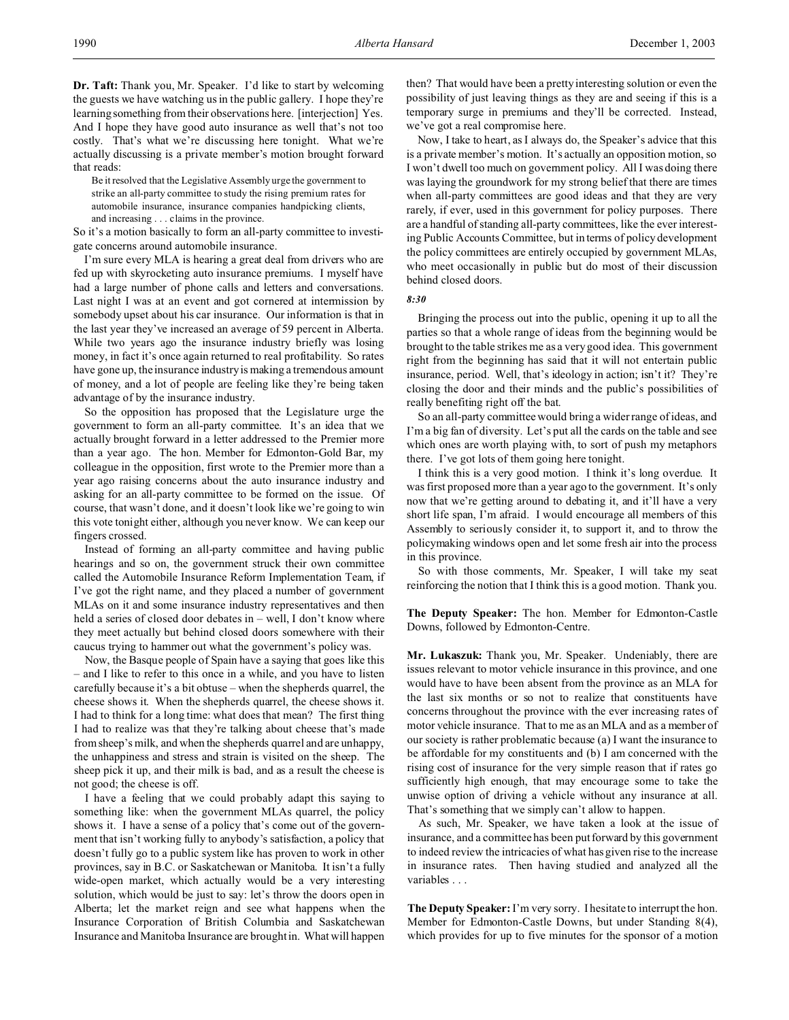**Dr. Taft:** Thank you, Mr. Speaker. I'd like to start by welcoming the guests we have watching us in the public gallery. I hope they're learning something from their observations here. [interjection] Yes. And I hope they have good auto insurance as well that's not too costly. That's what we're discussing here tonight. What we're actually discussing is a private member's motion brought forward that reads:

Be it resolved that the Legislative Assembly urge the government to strike an all-party committee to study the rising premium rates for automobile insurance, insurance companies handpicking clients, and increasing . . . claims in the province.

So it's a motion basically to form an all-party committee to investigate concerns around automobile insurance.

I'm sure every MLA is hearing a great deal from drivers who are fed up with skyrocketing auto insurance premiums. I myself have had a large number of phone calls and letters and conversations. Last night I was at an event and got cornered at intermission by somebody upset about his car insurance. Our information is that in the last year they've increased an average of 59 percent in Alberta. While two years ago the insurance industry briefly was losing money, in fact it's once again returned to real profitability. So rates have gone up, the insurance industry is making a tremendous amount of money, and a lot of people are feeling like they're being taken advantage of by the insurance industry.

So the opposition has proposed that the Legislature urge the government to form an all-party committee. It's an idea that we actually brought forward in a letter addressed to the Premier more than a year ago. The hon. Member for Edmonton-Gold Bar, my colleague in the opposition, first wrote to the Premier more than a year ago raising concerns about the auto insurance industry and asking for an all-party committee to be formed on the issue. Of course, that wasn't done, and it doesn't look like we're going to win this vote tonight either, although you never know. We can keep our fingers crossed.

Instead of forming an all-party committee and having public hearings and so on, the government struck their own committee called the Automobile Insurance Reform Implementation Team, if I've got the right name, and they placed a number of government MLAs on it and some insurance industry representatives and then held a series of closed door debates in – well, I don't know where they meet actually but behind closed doors somewhere with their caucus trying to hammer out what the government's policy was.

Now, the Basque people of Spain have a saying that goes like this – and I like to refer to this once in a while, and you have to listen carefully because it's a bit obtuse – when the shepherds quarrel, the cheese shows it. When the shepherds quarrel, the cheese shows it. I had to think for a long time: what does that mean? The first thing I had to realize was that they're talking about cheese that's made from sheep's milk, and when the shepherds quarrel and are unhappy, the unhappiness and stress and strain is visited on the sheep. The sheep pick it up, and their milk is bad, and as a result the cheese is not good; the cheese is off.

I have a feeling that we could probably adapt this saying to something like: when the government MLAs quarrel, the policy shows it. I have a sense of a policy that's come out of the government that isn't working fully to anybody's satisfaction, a policy that doesn't fully go to a public system like has proven to work in other provinces, say in B.C. or Saskatchewan or Manitoba. It isn't a fully wide-open market, which actually would be a very interesting solution, which would be just to say: let's throw the doors open in Alberta; let the market reign and see what happens when the Insurance Corporation of British Columbia and Saskatchewan Insurance and Manitoba Insurance are brought in. What will happen

then? That would have been a pretty interesting solution or even the possibility of just leaving things as they are and seeing if this is a temporary surge in premiums and they'll be corrected. Instead, we've got a real compromise here.

Now, I take to heart, as I always do, the Speaker's advice that this is a private member's motion. It's actually an opposition motion, so I won't dwell too much on government policy. All I was doing there was laying the groundwork for my strong belief that there are times when all-party committees are good ideas and that they are very rarely, if ever, used in this government for policy purposes. There are a handful of standing all-party committees, like the ever interesting Public Accounts Committee, but in terms of policy development the policy committees are entirely occupied by government MLAs, who meet occasionally in public but do most of their discussion behind closed doors.

*8:30*

Bringing the process out into the public, opening it up to all the parties so that a whole range of ideas from the beginning would be brought to the table strikes me as a very good idea. This government right from the beginning has said that it will not entertain public insurance, period. Well, that's ideology in action; isn't it? They're closing the door and their minds and the public's possibilities of really benefiting right off the bat.

So an all-party committee would bring a wider range of ideas, and I'm a big fan of diversity. Let's put all the cards on the table and see which ones are worth playing with, to sort of push my metaphors there. I've got lots of them going here tonight.

I think this is a very good motion. I think it's long overdue. It was first proposed more than a year ago to the government. It's only now that we're getting around to debating it, and it'll have a very short life span, I'm afraid. I would encourage all members of this Assembly to seriously consider it, to support it, and to throw the policymaking windows open and let some fresh air into the process in this province.

So with those comments, Mr. Speaker, I will take my seat reinforcing the notion that I think this is a good motion. Thank you.

**The Deputy Speaker:** The hon. Member for Edmonton-Castle Downs, followed by Edmonton-Centre.

**Mr. Lukaszuk:** Thank you, Mr. Speaker. Undeniably, there are issues relevant to motor vehicle insurance in this province, and one would have to have been absent from the province as an MLA for the last six months or so not to realize that constituents have concerns throughout the province with the ever increasing rates of motor vehicle insurance. That to me as an MLA and as a member of our society is rather problematic because (a) I want the insurance to be affordable for my constituents and (b) I am concerned with the rising cost of insurance for the very simple reason that if rates go sufficiently high enough, that may encourage some to take the unwise option of driving a vehicle without any insurance at all. That's something that we simply can't allow to happen.

As such, Mr. Speaker, we have taken a look at the issue of insurance, and a committee has been put forward by this government to indeed review the intricacies of what has given rise to the increase in insurance rates. Then having studied and analyzed all the variables . . .

**The Deputy Speaker:** I'm very sorry. I hesitate to interrupt the hon. Member for Edmonton-Castle Downs, but under Standing 8(4), which provides for up to five minutes for the sponsor of a motion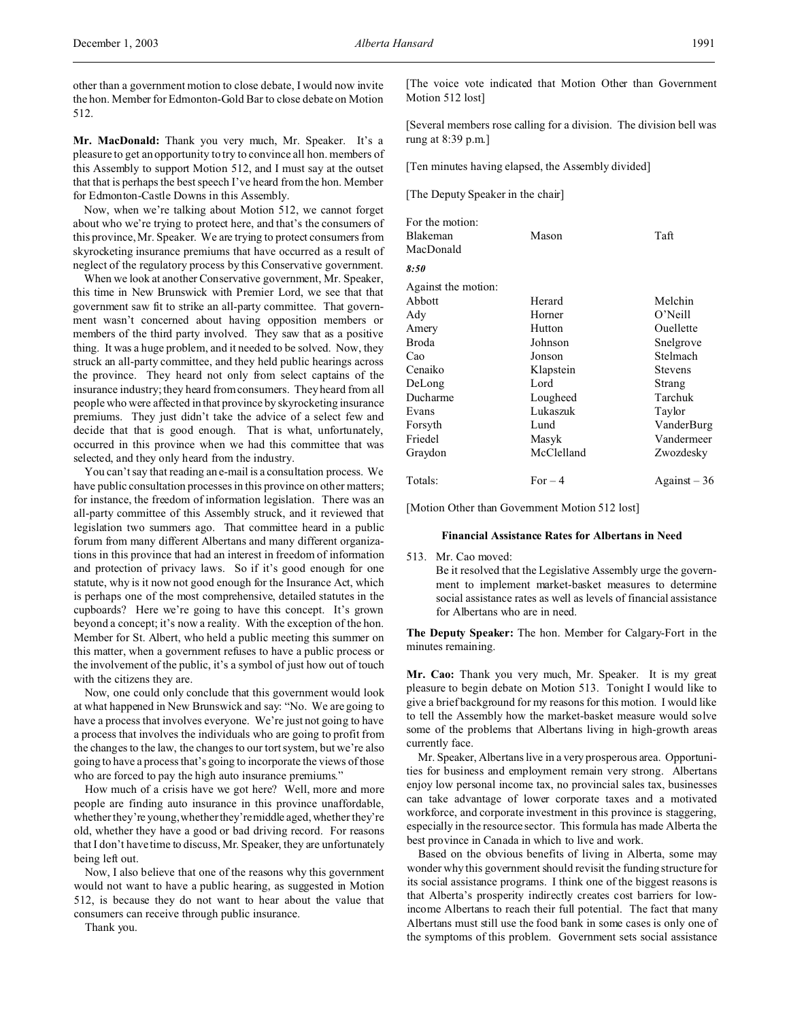other than a government motion to close debate, I would now invite the hon. Member for Edmonton-Gold Bar to close debate on Motion 512.

**Mr. MacDonald:** Thank you very much, Mr. Speaker. It's a pleasure to get an opportunity to try to convince all hon. members of this Assembly to support Motion 512, and I must say at the outset that that is perhaps the best speech I've heard from the hon. Member for Edmonton-Castle Downs in this Assembly.

Now, when we're talking about Motion 512, we cannot forget about who we're trying to protect here, and that's the consumers of this province, Mr. Speaker. We are trying to protect consumers from skyrocketing insurance premiums that have occurred as a result of neglect of the regulatory process by this Conservative government.

When we look at another Conservative government, Mr. Speaker, this time in New Brunswick with Premier Lord, we see that that government saw fit to strike an all-party committee. That government wasn't concerned about having opposition members or members of the third party involved. They saw that as a positive thing. It was a huge problem, and it needed to be solved. Now, they struck an all-party committee, and they held public hearings across the province. They heard not only from select captains of the insurance industry; they heard from consumers. They heard from all people who were affected in that province by skyrocketing insurance premiums. They just didn't take the advice of a select few and decide that that is good enough. That is what, unfortunately, occurred in this province when we had this committee that was selected, and they only heard from the industry.

You can't say that reading an e-mail is a consultation process. We have public consultation processes in this province on other matters; for instance, the freedom of information legislation. There was an all-party committee of this Assembly struck, and it reviewed that legislation two summers ago. That committee heard in a public forum from many different Albertans and many different organizations in this province that had an interest in freedom of information and protection of privacy laws. So if it's good enough for one statute, why is it now not good enough for the Insurance Act, which is perhaps one of the most comprehensive, detailed statutes in the cupboards? Here we're going to have this concept. It's grown beyond a concept; it's now a reality. With the exception of the hon. Member for St. Albert, who held a public meeting this summer on this matter, when a government refuses to have a public process or the involvement of the public, it's a symbol of just how out of touch with the citizens they are.

Now, one could only conclude that this government would look at what happened in New Brunswick and say: "No. We are going to have a process that involves everyone. We're just not going to have a process that involves the individuals who are going to profit from the changes to the law, the changes to our tort system, but we're also going to have a process that's going to incorporate the views of those who are forced to pay the high auto insurance premiums."

How much of a crisis have we got here? Well, more and more people are finding auto insurance in this province unaffordable, whether they're young, whether they'remiddle aged, whether they're old, whether they have a good or bad driving record. For reasons that I don't have time to discuss, Mr. Speaker, they are unfortunately being left out.

Now, I also believe that one of the reasons why this government would not want to have a public hearing, as suggested in Motion 512, is because they do not want to hear about the value that consumers can receive through public insurance.

Thank you.

[The voice vote indicated that Motion Other than Government Motion 512 lost]

[Several members rose calling for a division. The division bell was rung at 8:39 p.m.]

[Ten minutes having elapsed, the Assembly divided]

[The Deputy Speaker in the chair]

| For the motion:     |            |                |
|---------------------|------------|----------------|
| Blakeman            | Mason      | Taft           |
| MacDonald           |            |                |
| 8:50                |            |                |
| Against the motion: |            |                |
| Abbott              | Herard     | Melchin        |
| Ady                 | Horner     | $O'$ Neill     |
| Amery               | Hutton     | Ouellette      |
| <b>Broda</b>        | Johnson    | Snelgrove      |
| Cao                 | Jonson     | Stelmach       |
| Cenaiko             | Klapstein  | <b>Stevens</b> |
| DeLong              | Lord       | Strang         |
| Ducharme            | Lougheed   | Tarchuk        |
| Evans               | Lukaszuk   | Taylor         |
| Forsyth             | Lund       | VanderBurg     |
| Friedel             | Masyk      | Vandermeer     |
| Graydon             | McClelland | Zwozdesky      |
| Totals:             | $For-4$    | $Against-36$   |
|                     |            |                |

[Motion Other than Government Motion 512 lost]

## **Financial Assistance Rates for Albertans in Need**

513. Mr. Cao moved:

Be it resolved that the Legislative Assembly urge the government to implement market-basket measures to determine social assistance rates as well as levels of financial assistance for Albertans who are in need.

**The Deputy Speaker:** The hon. Member for Calgary-Fort in the minutes remaining.

**Mr. Cao:** Thank you very much, Mr. Speaker. It is my great pleasure to begin debate on Motion 513. Tonight I would like to give a brief background for my reasons for this motion. I would like to tell the Assembly how the market-basket measure would solve some of the problems that Albertans living in high-growth areas currently face.

Mr. Speaker, Albertans live in a very prosperous area. Opportunities for business and employment remain very strong. Albertans enjoy low personal income tax, no provincial sales tax, businesses can take advantage of lower corporate taxes and a motivated workforce, and corporate investment in this province is staggering, especially in the resource sector. This formula has made Alberta the best province in Canada in which to live and work.

Based on the obvious benefits of living in Alberta, some may wonder why this government should revisit the funding structure for its social assistance programs. I think one of the biggest reasons is that Alberta's prosperity indirectly creates cost barriers for lowincome Albertans to reach their full potential. The fact that many Albertans must still use the food bank in some cases is only one of the symptoms of this problem. Government sets social assistance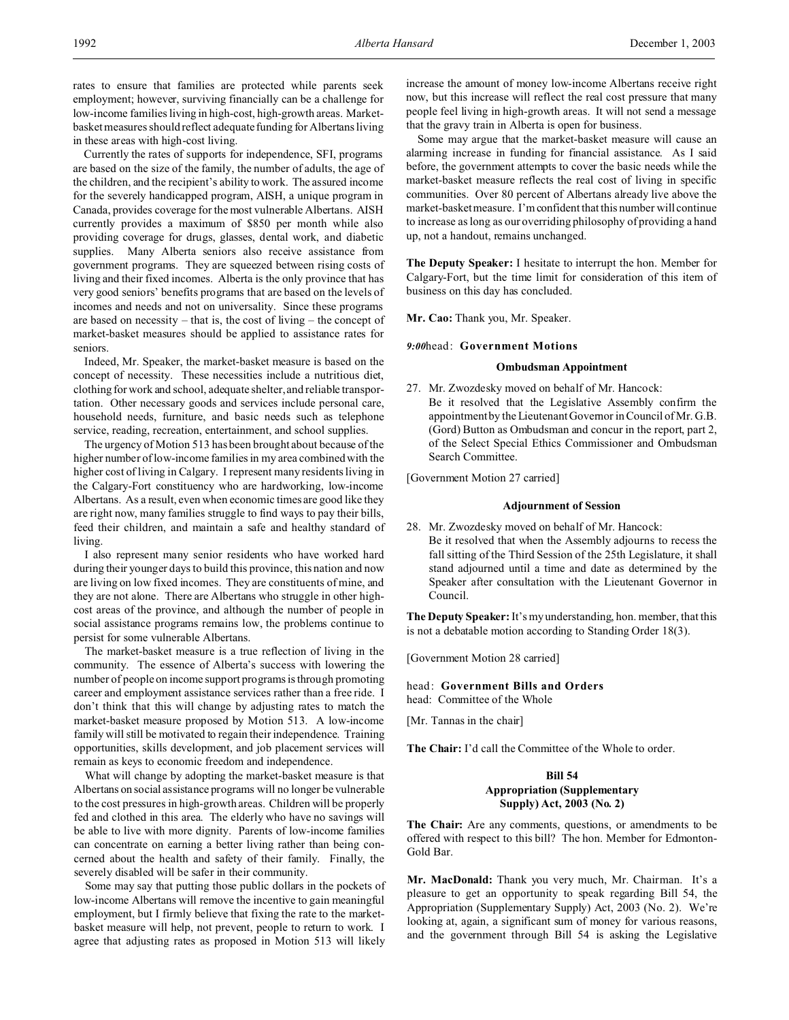rates to ensure that families are protected while parents seek employment; however, surviving financially can be a challenge for low-income families living in high-cost, high-growth areas. Marketbasket measures should reflect adequate funding for Albertans living in these areas with high-cost living.

Currently the rates of supports for independence, SFI, programs are based on the size of the family, the number of adults, the age of the children, and the recipient's ability to work. The assured income for the severely handicapped program, AISH, a unique program in Canada, provides coverage for the most vulnerable Albertans. AISH currently provides a maximum of \$850 per month while also providing coverage for drugs, glasses, dental work, and diabetic supplies. Many Alberta seniors also receive assistance from government programs. They are squeezed between rising costs of living and their fixed incomes. Alberta is the only province that has very good seniors' benefits programs that are based on the levels of incomes and needs and not on universality. Since these programs are based on necessity – that is, the cost of living – the concept of market-basket measures should be applied to assistance rates for seniors.

Indeed, Mr. Speaker, the market-basket measure is based on the concept of necessity. These necessities include a nutritious diet, clothing for work and school, adequate shelter, and reliable transportation. Other necessary goods and services include personal care, household needs, furniture, and basic needs such as telephone service, reading, recreation, entertainment, and school supplies.

The urgency of Motion 513 has been brought about because of the higher number of low-income families in my area combined with the higher cost of living in Calgary. I represent many residents living in the Calgary-Fort constituency who are hardworking, low-income Albertans. As a result, even when economic times are good like they are right now, many families struggle to find ways to pay their bills, feed their children, and maintain a safe and healthy standard of living.

I also represent many senior residents who have worked hard during their younger days to build this province, this nation and now are living on low fixed incomes. They are constituents of mine, and they are not alone. There are Albertans who struggle in other highcost areas of the province, and although the number of people in social assistance programs remains low, the problems continue to persist for some vulnerable Albertans.

The market-basket measure is a true reflection of living in the community. The essence of Alberta's success with lowering the number of people on income support programs is through promoting career and employment assistance services rather than a free ride. I don't think that this will change by adjusting rates to match the market-basket measure proposed by Motion 513. A low-income family will still be motivated to regain their independence. Training opportunities, skills development, and job placement services will remain as keys to economic freedom and independence.

What will change by adopting the market-basket measure is that Albertans on social assistance programs will no longer be vulnerable to the cost pressures in high-growth areas. Children will be properly fed and clothed in this area. The elderly who have no savings will be able to live with more dignity. Parents of low-income families can concentrate on earning a better living rather than being concerned about the health and safety of their family. Finally, the severely disabled will be safer in their community.

Some may say that putting those public dollars in the pockets of low-income Albertans will remove the incentive to gain meaningful employment, but I firmly believe that fixing the rate to the marketbasket measure will help, not prevent, people to return to work. I agree that adjusting rates as proposed in Motion 513 will likely

increase the amount of money low-income Albertans receive right now, but this increase will reflect the real cost pressure that many people feel living in high-growth areas. It will not send a message that the gravy train in Alberta is open for business.

Some may argue that the market-basket measure will cause an alarming increase in funding for financial assistance. As I said before, the government attempts to cover the basic needs while the market-basket measure reflects the real cost of living in specific communities. Over 80 percent of Albertans already live above the market-basket measure. I'm confident that this number will continue to increase as long as our overriding philosophy of providing a hand up, not a handout, remains unchanged.

**The Deputy Speaker:** I hesitate to interrupt the hon. Member for Calgary-Fort, but the time limit for consideration of this item of business on this day has concluded.

**Mr. Cao:** Thank you, Mr. Speaker.

*9:00*head: **Government Motions**

## **Ombudsman Appointment**

27. Mr. Zwozdesky moved on behalf of Mr. Hancock: Be it resolved that the Legislative Assembly confirm the appointment by the Lieutenant Governor in Council of Mr. G.B. (Gord) Button as Ombudsman and concur in the report, part 2, of the Select Special Ethics Commissioner and Ombudsman Search Committee.

[Government Motion 27 carried]

## **Adjournment of Session**

28. Mr. Zwozdesky moved on behalf of Mr. Hancock: Be it resolved that when the Assembly adjourns to recess the fall sitting of the Third Session of the 25th Legislature, it shall stand adjourned until a time and date as determined by the Speaker after consultation with the Lieutenant Governor in Council.

**The Deputy Speaker:** It's my understanding, hon. member, that this is not a debatable motion according to Standing Order 18(3).

[Government Motion 28 carried]

# head: **Government Bills and Orders**

head: Committee of the Whole

[Mr. Tannas in the chair]

**The Chair:** I'd call the Committee of the Whole to order.

# **Bill 54 Appropriation (Supplementary Supply) Act, 2003 (No. 2)**

**The Chair:** Are any comments, questions, or amendments to be offered with respect to this bill? The hon. Member for Edmonton-Gold Bar.

**Mr. MacDonald:** Thank you very much, Mr. Chairman. It's a pleasure to get an opportunity to speak regarding Bill 54, the Appropriation (Supplementary Supply) Act, 2003 (No. 2). We're looking at, again, a significant sum of money for various reasons, and the government through Bill 54 is asking the Legislative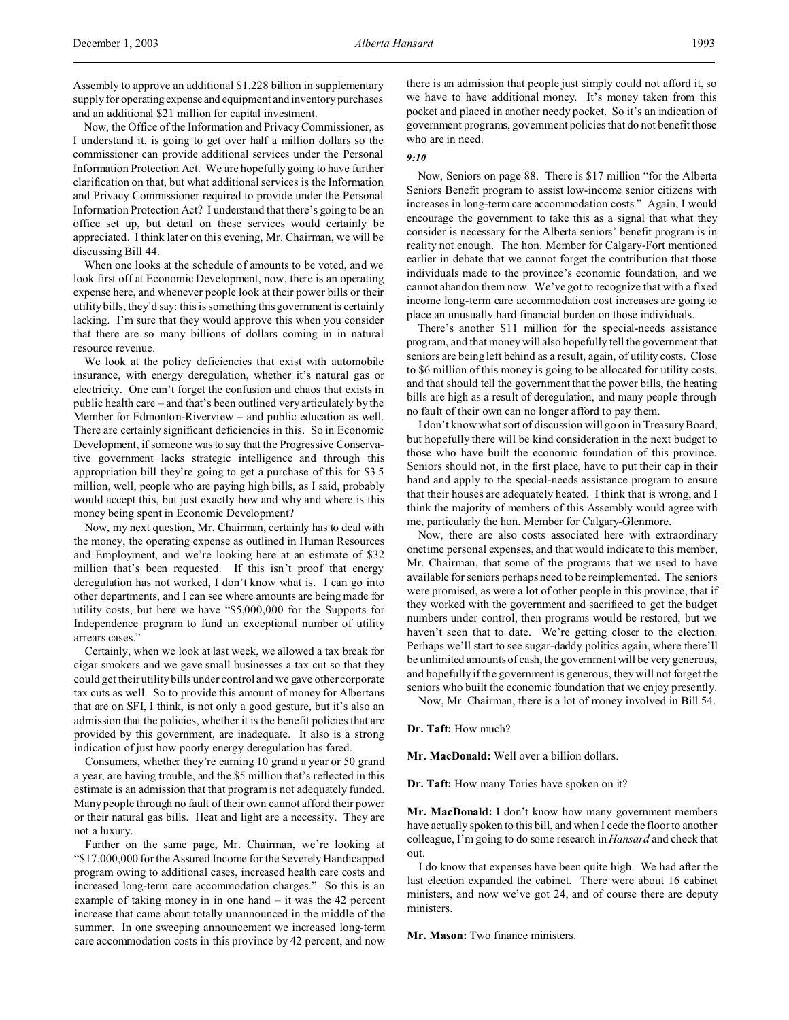Now, the Office of the Information and Privacy Commissioner, as I understand it, is going to get over half a million dollars so the commissioner can provide additional services under the Personal Information Protection Act. We are hopefully going to have further clarification on that, but what additional services is the Information and Privacy Commissioner required to provide under the Personal Information Protection Act? I understand that there's going to be an office set up, but detail on these services would certainly be appreciated. I think later on this evening, Mr. Chairman, we will be discussing Bill 44.

When one looks at the schedule of amounts to be voted, and we look first off at Economic Development, now, there is an operating expense here, and whenever people look at their power bills or their utility bills, they'd say: this is something this government is certainly lacking. I'm sure that they would approve this when you consider that there are so many billions of dollars coming in in natural resource revenue.

We look at the policy deficiencies that exist with automobile insurance, with energy deregulation, whether it's natural gas or electricity. One can't forget the confusion and chaos that exists in public health care – and that's been outlined very articulately by the Member for Edmonton-Riverview – and public education as well. There are certainly significant deficiencies in this. So in Economic Development, if someone was to say that the Progressive Conservative government lacks strategic intelligence and through this appropriation bill they're going to get a purchase of this for \$3.5 million, well, people who are paying high bills, as I said, probably would accept this, but just exactly how and why and where is this money being spent in Economic Development?

Now, my next question, Mr. Chairman, certainly has to deal with the money, the operating expense as outlined in Human Resources and Employment, and we're looking here at an estimate of \$32 million that's been requested. If this isn't proof that energy deregulation has not worked, I don't know what is. I can go into other departments, and I can see where amounts are being made for utility costs, but here we have "\$5,000,000 for the Supports for Independence program to fund an exceptional number of utility arrears cases."

Certainly, when we look at last week, we allowed a tax break for cigar smokers and we gave small businesses a tax cut so that they could get their utility bills under control and we gave other corporate tax cuts as well. So to provide this amount of money for Albertans that are on SFI, I think, is not only a good gesture, but it's also an admission that the policies, whether it is the benefit policies that are provided by this government, are inadequate. It also is a strong indication of just how poorly energy deregulation has fared.

Consumers, whether they're earning 10 grand a year or 50 grand a year, are having trouble, and the \$5 million that's reflected in this estimate is an admission that that program is not adequately funded. Many people through no fault of their own cannot afford their power or their natural gas bills. Heat and light are a necessity. They are not a luxury.

Further on the same page, Mr. Chairman, we're looking at "\$17,000,000 for the Assured Income for the Severely Handicapped program owing to additional cases, increased health care costs and increased long-term care accommodation charges." So this is an example of taking money in in one hand – it was the 42 percent increase that came about totally unannounced in the middle of the summer. In one sweeping announcement we increased long-term care accommodation costs in this province by 42 percent, and now

there is an admission that people just simply could not afford it, so we have to have additional money. It's money taken from this pocket and placed in another needy pocket. So it's an indication of government programs, government policies that do not benefit those who are in need.

## *9:10*

Now, Seniors on page 88. There is \$17 million "for the Alberta Seniors Benefit program to assist low-income senior citizens with increases in long-term care accommodation costs." Again, I would encourage the government to take this as a signal that what they consider is necessary for the Alberta seniors' benefit program is in reality not enough. The hon. Member for Calgary-Fort mentioned earlier in debate that we cannot forget the contribution that those individuals made to the province's economic foundation, and we cannot abandon them now. We've got to recognize that with a fixed income long-term care accommodation cost increases are going to place an unusually hard financial burden on those individuals.

There's another \$11 million for the special-needs assistance program, and that money will also hopefully tell the government that seniors are being left behind as a result, again, of utility costs. Close to \$6 million of this money is going to be allocated for utility costs, and that should tell the government that the power bills, the heating bills are high as a result of deregulation, and many people through no fault of their own can no longer afford to pay them.

I don't know what sort of discussion will go on in Treasury Board, but hopefully there will be kind consideration in the next budget to those who have built the economic foundation of this province. Seniors should not, in the first place, have to put their cap in their hand and apply to the special-needs assistance program to ensure that their houses are adequately heated. I think that is wrong, and I think the majority of members of this Assembly would agree with me, particularly the hon. Member for Calgary-Glenmore.

Now, there are also costs associated here with extraordinary onetime personal expenses, and that would indicate to this member, Mr. Chairman, that some of the programs that we used to have available for seniors perhaps need to be reimplemented. The seniors were promised, as were a lot of other people in this province, that if they worked with the government and sacrificed to get the budget numbers under control, then programs would be restored, but we haven't seen that to date. We're getting closer to the election. Perhaps we'll start to see sugar-daddy politics again, where there'll be unlimited amounts of cash, the government will be very generous, and hopefully if the government is generous, they will not forget the seniors who built the economic foundation that we enjoy presently.

Now, Mr. Chairman, there is a lot of money involved in Bill 54.

**Dr. Taft:** How much?

**Mr. MacDonald:** Well over a billion dollars.

**Dr. Taft:** How many Tories have spoken on it?

**Mr. MacDonald:** I don't know how many government members have actually spoken to this bill, and when I cede the floor to another colleague, I'm going to do some research in *Hansard* and check that out.

I do know that expenses have been quite high. We had after the last election expanded the cabinet. There were about 16 cabinet ministers, and now we've got 24, and of course there are deputy ministers.

**Mr. Mason:** Two finance ministers.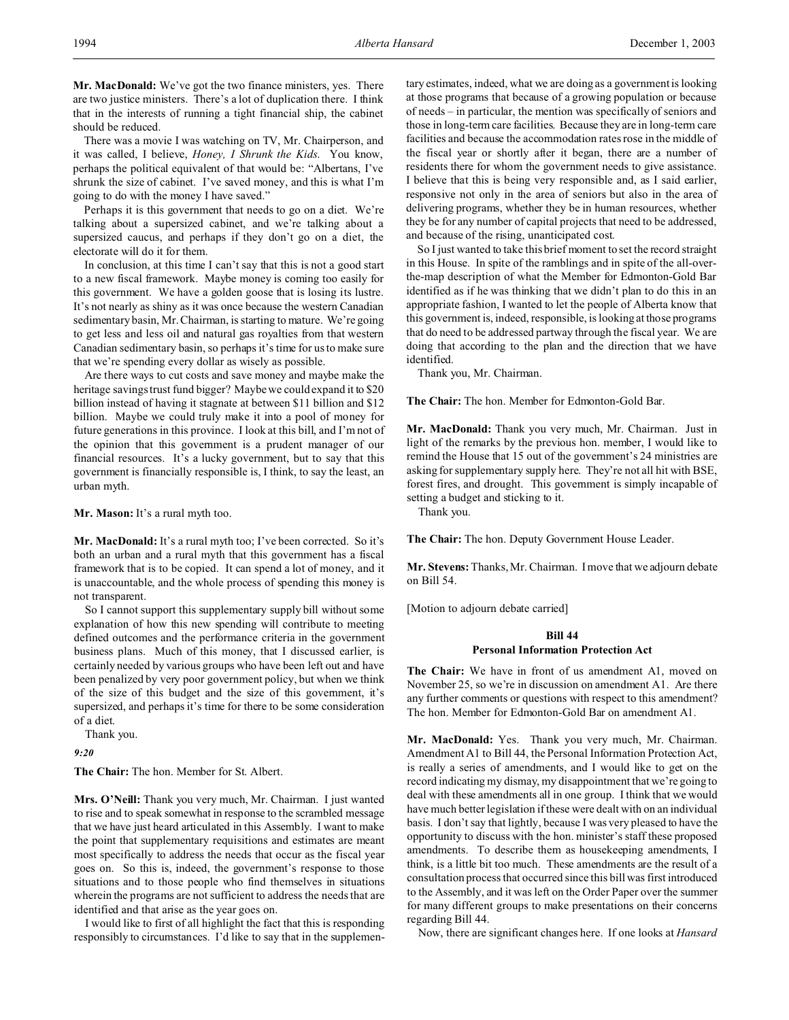**Mr. MacDonald:** We've got the two finance ministers, yes. There are two justice ministers. There's a lot of duplication there. I think that in the interests of running a tight financial ship, the cabinet should be reduced.

There was a movie I was watching on TV, Mr. Chairperson, and it was called, I believe, *Honey, I Shrunk the Kids*. You know, perhaps the political equivalent of that would be: "Albertans, I've shrunk the size of cabinet. I've saved money, and this is what I'm going to do with the money I have saved."

Perhaps it is this government that needs to go on a diet. We're talking about a supersized cabinet, and we're talking about a supersized caucus, and perhaps if they don't go on a diet, the electorate will do it for them.

In conclusion, at this time I can't say that this is not a good start to a new fiscal framework. Maybe money is coming too easily for this government. We have a golden goose that is losing its lustre. It's not nearly as shiny as it was once because the western Canadian sedimentary basin, Mr. Chairman, is starting to mature. We're going to get less and less oil and natural gas royalties from that western Canadian sedimentary basin, so perhaps it's time for us to make sure that we're spending every dollar as wisely as possible.

Are there ways to cut costs and save money and maybe make the heritage savings trust fund bigger? Maybe we could expand it to \$20 billion instead of having it stagnate at between \$11 billion and \$12 billion. Maybe we could truly make it into a pool of money for future generations in this province. I look at this bill, and I'm not of the opinion that this government is a prudent manager of our financial resources. It's a lucky government, but to say that this government is financially responsible is, I think, to say the least, an urban myth.

**Mr. Mason:** It's a rural myth too.

**Mr. MacDonald:** It's a rural myth too; I've been corrected. So it's both an urban and a rural myth that this government has a fiscal framework that is to be copied. It can spend a lot of money, and it is unaccountable, and the whole process of spending this money is not transparent.

So I cannot support this supplementary supply bill without some explanation of how this new spending will contribute to meeting defined outcomes and the performance criteria in the government business plans. Much of this money, that I discussed earlier, is certainly needed by various groups who have been left out and have been penalized by very poor government policy, but when we think of the size of this budget and the size of this government, it's supersized, and perhaps it's time for there to be some consideration of a diet.

Thank you.

*9:20*

**The Chair:** The hon. Member for St. Albert.

**Mrs. O'Neill:** Thank you very much, Mr. Chairman. I just wanted to rise and to speak somewhat in response to the scrambled message that we have just heard articulated in this Assembly. I want to make the point that supplementary requisitions and estimates are meant most specifically to address the needs that occur as the fiscal year goes on. So this is, indeed, the government's response to those situations and to those people who find themselves in situations wherein the programs are not sufficient to address the needs that are identified and that arise as the year goes on.

I would like to first of all highlight the fact that this is responding responsibly to circumstances. I'd like to say that in the supplementary estimates, indeed, what we are doing as a government is looking at those programs that because of a growing population or because of needs – in particular, the mention was specifically of seniors and those in long-term care facilities. Because they are in long-term care facilities and because the accommodation rates rose in the middle of the fiscal year or shortly after it began, there are a number of residents there for whom the government needs to give assistance. I believe that this is being very responsible and, as I said earlier, responsive not only in the area of seniors but also in the area of delivering programs, whether they be in human resources, whether they be for any number of capital projects that need to be addressed, and because of the rising, unanticipated cost.

So I just wanted to take this brief moment to set the record straight in this House. In spite of the ramblings and in spite of the all-overthe-map description of what the Member for Edmonton-Gold Bar identified as if he was thinking that we didn't plan to do this in an appropriate fashion, I wanted to let the people of Alberta know that this government is, indeed, responsible, is looking at those programs that do need to be addressed partway through the fiscal year. We are doing that according to the plan and the direction that we have identified.

Thank you, Mr. Chairman.

**The Chair:** The hon. Member for Edmonton-Gold Bar.

**Mr. MacDonald:** Thank you very much, Mr. Chairman. Just in light of the remarks by the previous hon. member, I would like to remind the House that 15 out of the government's 24 ministries are asking for supplementary supply here. They're not all hit with BSE, forest fires, and drought. This government is simply incapable of setting a budget and sticking to it.

Thank you.

**The Chair:** The hon. Deputy Government House Leader.

**Mr. Stevens:** Thanks, Mr. Chairman. I move that we adjourn debate on Bill 54.

[Motion to adjourn debate carried]

# **Bill 44**

## **Personal Information Protection Act**

**The Chair:** We have in front of us amendment A1, moved on November 25, so we're in discussion on amendment A1. Are there any further comments or questions with respect to this amendment? The hon. Member for Edmonton-Gold Bar on amendment A1.

**Mr. MacDonald:** Yes. Thank you very much, Mr. Chairman. Amendment A1 to Bill 44, the Personal Information Protection Act, is really a series of amendments, and I would like to get on the record indicating my dismay, my disappointment that we're going to deal with these amendments all in one group. I think that we would have much better legislation if these were dealt with on an individual basis. I don't say that lightly, because I was very pleased to have the opportunity to discuss with the hon. minister's staff these proposed amendments. To describe them as housekeeping amendments, I think, is a little bit too much. These amendments are the result of a consultation process that occurred since this bill was first introduced to the Assembly, and it was left on the Order Paper over the summer for many different groups to make presentations on their concerns regarding Bill 44.

Now, there are significant changes here. If one looks at *Hansard*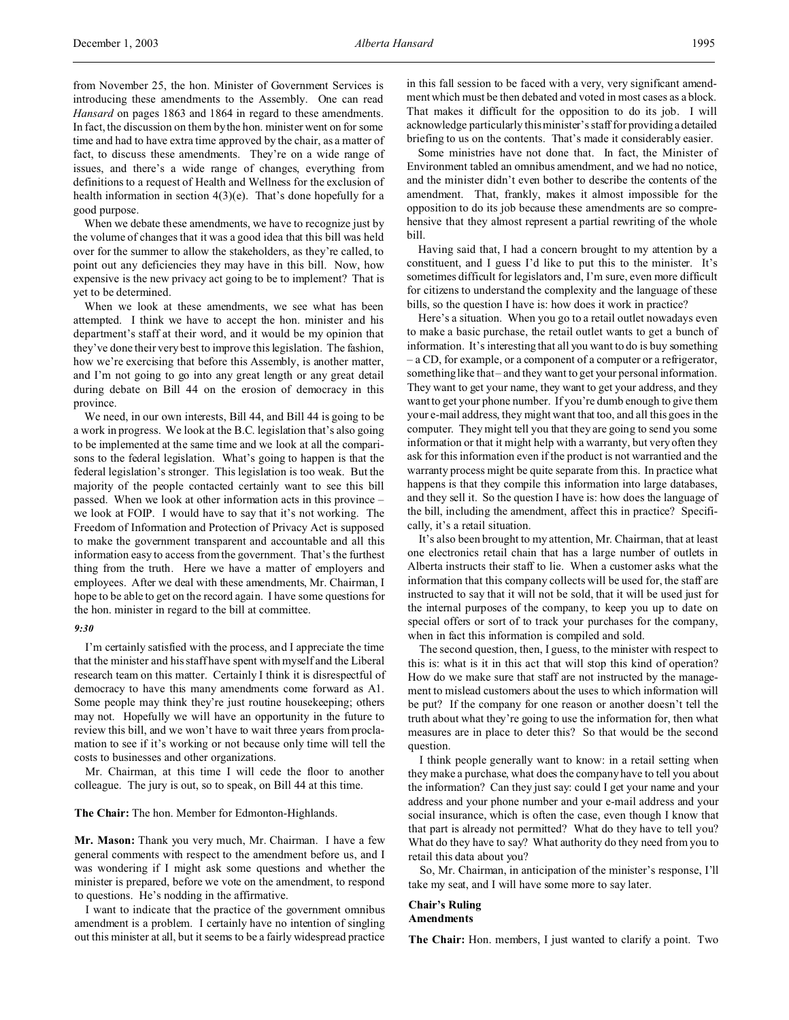from November 25, the hon. Minister of Government Services is introducing these amendments to the Assembly. One can read *Hansard* on pages 1863 and 1864 in regard to these amendments. In fact, the discussion on them by the hon. minister went on for some time and had to have extra time approved by the chair, as a matter of fact, to discuss these amendments. They're on a wide range of issues, and there's a wide range of changes, everything from definitions to a request of Health and Wellness for the exclusion of health information in section 4(3)(e). That's done hopefully for a good purpose.

When we debate these amendments, we have to recognize just by the volume of changes that it was a good idea that this bill was held over for the summer to allow the stakeholders, as they're called, to point out any deficiencies they may have in this bill. Now, how expensive is the new privacy act going to be to implement? That is yet to be determined.

When we look at these amendments, we see what has been attempted. I think we have to accept the hon. minister and his department's staff at their word, and it would be my opinion that they've done their very best to improve this legislation. The fashion, how we're exercising that before this Assembly, is another matter, and I'm not going to go into any great length or any great detail during debate on Bill 44 on the erosion of democracy in this province.

We need, in our own interests, Bill 44, and Bill 44 is going to be a work in progress. We look at the B.C. legislation that's also going to be implemented at the same time and we look at all the comparisons to the federal legislation. What's going to happen is that the federal legislation's stronger. This legislation is too weak. But the majority of the people contacted certainly want to see this bill passed. When we look at other information acts in this province – we look at FOIP. I would have to say that it's not working. The Freedom of Information and Protection of Privacy Act is supposed to make the government transparent and accountable and all this information easy to access from the government. That's the furthest thing from the truth. Here we have a matter of employers and employees. After we deal with these amendments, Mr. Chairman, I hope to be able to get on the record again. I have some questions for the hon. minister in regard to the bill at committee.

### *9:30*

I'm certainly satisfied with the process, and I appreciate the time that the minister and his staff have spent with myself and the Liberal research team on this matter. Certainly I think it is disrespectful of democracy to have this many amendments come forward as A1. Some people may think they're just routine housekeeping; others may not. Hopefully we will have an opportunity in the future to review this bill, and we won't have to wait three years from proclamation to see if it's working or not because only time will tell the costs to businesses and other organizations.

Mr. Chairman, at this time I will cede the floor to another colleague. The jury is out, so to speak, on Bill 44 at this time.

## **The Chair:** The hon. Member for Edmonton-Highlands.

**Mr. Mason:** Thank you very much, Mr. Chairman. I have a few general comments with respect to the amendment before us, and I was wondering if I might ask some questions and whether the minister is prepared, before we vote on the amendment, to respond to questions. He's nodding in the affirmative.

I want to indicate that the practice of the government omnibus amendment is a problem. I certainly have no intention of singling out this minister at all, but it seems to be a fairly widespread practice

in this fall session to be faced with a very, very significant amendment which must be then debated and voted in most cases as a block. That makes it difficult for the opposition to do its job. I will acknowledge particularly this minister's staff for providing a detailed briefing to us on the contents. That's made it considerably easier.

Some ministries have not done that. In fact, the Minister of Environment tabled an omnibus amendment, and we had no notice, and the minister didn't even bother to describe the contents of the amendment. That, frankly, makes it almost impossible for the opposition to do its job because these amendments are so comprehensive that they almost represent a partial rewriting of the whole bill.

Having said that, I had a concern brought to my attention by a constituent, and I guess I'd like to put this to the minister. It's sometimes difficult for legislators and, I'm sure, even more difficult for citizens to understand the complexity and the language of these bills, so the question I have is: how does it work in practice?

Here's a situation. When you go to a retail outlet nowadays even to make a basic purchase, the retail outlet wants to get a bunch of information. It's interesting that all you want to do is buy something – a CD, for example, or a component of a computer or a refrigerator, something like that – and they want to get your personal information. They want to get your name, they want to get your address, and they want to get your phone number. If you're dumb enough to give them your e-mail address, they might want that too, and all this goes in the computer. They might tell you that they are going to send you some information or that it might help with a warranty, but very often they ask for this information even if the product is not warrantied and the warranty process might be quite separate from this. In practice what happens is that they compile this information into large databases, and they sell it. So the question I have is: how does the language of the bill, including the amendment, affect this in practice? Specifically, it's a retail situation.

It's also been brought to my attention, Mr. Chairman, that at least one electronics retail chain that has a large number of outlets in Alberta instructs their staff to lie. When a customer asks what the information that this company collects will be used for, the staff are instructed to say that it will not be sold, that it will be used just for the internal purposes of the company, to keep you up to date on special offers or sort of to track your purchases for the company, when in fact this information is compiled and sold.

The second question, then, I guess, to the minister with respect to this is: what is it in this act that will stop this kind of operation? How do we make sure that staff are not instructed by the management to mislead customers about the uses to which information will be put? If the company for one reason or another doesn't tell the truth about what they're going to use the information for, then what measures are in place to deter this? So that would be the second question.

I think people generally want to know: in a retail setting when they make a purchase, what does the company have to tell you about the information? Can they just say: could I get your name and your address and your phone number and your e-mail address and your social insurance, which is often the case, even though I know that that part is already not permitted? What do they have to tell you? What do they have to say? What authority do they need from you to retail this data about you?

So, Mr. Chairman, in anticipation of the minister's response, I'll take my seat, and I will have some more to say later.

## **Chair's Ruling Amendments**

**The Chair:** Hon. members, I just wanted to clarify a point. Two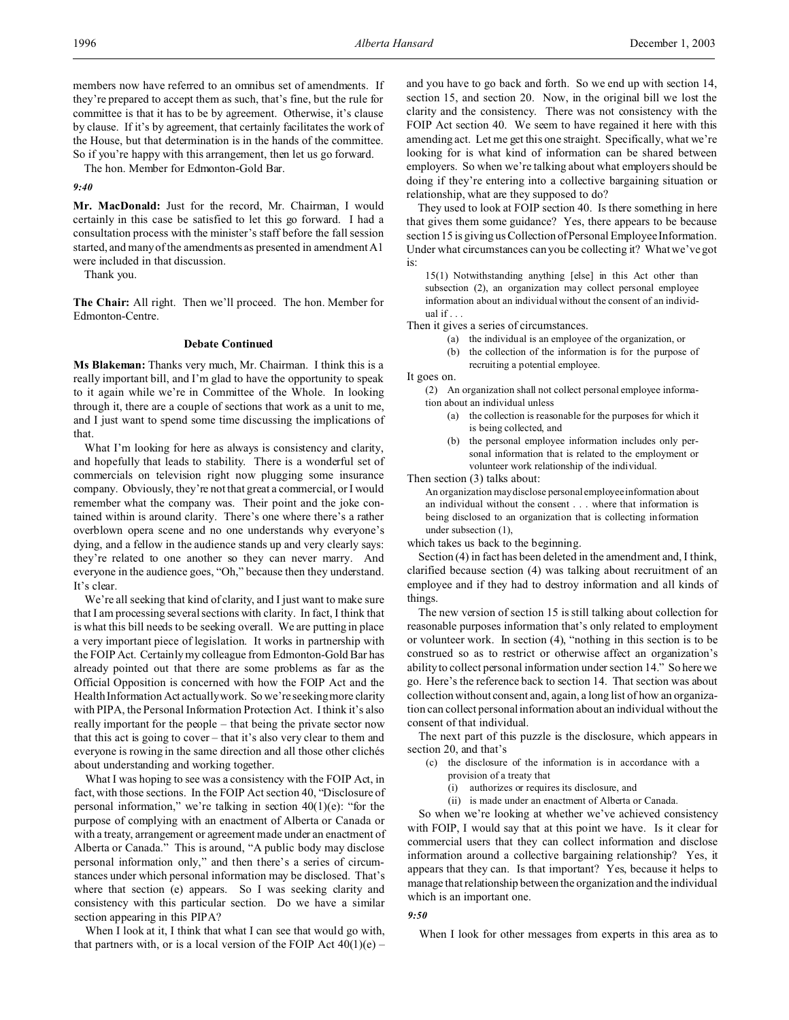members now have referred to an omnibus set of amendments. If they're prepared to accept them as such, that's fine, but the rule for committee is that it has to be by agreement. Otherwise, it's clause by clause. If it's by agreement, that certainly facilitates the work of the House, but that determination is in the hands of the committee. So if you're happy with this arrangement, then let us go forward.

The hon. Member for Edmonton-Gold Bar.

## *9:40*

**Mr. MacDonald:** Just for the record, Mr. Chairman, I would certainly in this case be satisfied to let this go forward. I had a consultation process with the minister's staff before the fall session started, and many of the amendments as presented in amendment A1 were included in that discussion.

Thank you.

**The Chair:** All right. Then we'll proceed. The hon. Member for Edmonton-Centre.

### **Debate Continued**

**Ms Blakeman:** Thanks very much, Mr. Chairman. I think this is a really important bill, and I'm glad to have the opportunity to speak to it again while we're in Committee of the Whole. In looking through it, there are a couple of sections that work as a unit to me, and I just want to spend some time discussing the implications of that.

What I'm looking for here as always is consistency and clarity, and hopefully that leads to stability. There is a wonderful set of commercials on television right now plugging some insurance company. Obviously, they're not that great a commercial, or I would remember what the company was. Their point and the joke contained within is around clarity. There's one where there's a rather overblown opera scene and no one understands why everyone's dying, and a fellow in the audience stands up and very clearly says: they're related to one another so they can never marry. And everyone in the audience goes, "Oh," because then they understand. It's clear.

We're all seeking that kind of clarity, and I just want to make sure that I am processing several sections with clarity. In fact, I think that is what this bill needs to be seeking overall. We are putting in place a very important piece of legislation. It works in partnership with the FOIP Act. Certainly my colleague from Edmonton-Gold Bar has already pointed out that there are some problems as far as the Official Opposition is concerned with how the FOIP Act and the Health Information Act actually work. So we're seeking more clarity with PIPA, the Personal Information Protection Act. I think it's also really important for the people – that being the private sector now that this act is going to cover – that it's also very clear to them and everyone is rowing in the same direction and all those other clichés about understanding and working together.

What I was hoping to see was a consistency with the FOIP Act, in fact, with those sections. In the FOIP Act section 40, "Disclosure of personal information," we're talking in section 40(1)(e): "for the purpose of complying with an enactment of Alberta or Canada or with a treaty, arrangement or agreement made under an enactment of Alberta or Canada." This is around, "A public body may disclose personal information only," and then there's a series of circumstances under which personal information may be disclosed. That's where that section (e) appears. So I was seeking clarity and consistency with this particular section. Do we have a similar section appearing in this PIPA?

When I look at it, I think that what I can see that would go with, that partners with, or is a local version of the FOIP Act  $40(1)(e)$  –

and you have to go back and forth. So we end up with section 14, section 15, and section 20. Now, in the original bill we lost the clarity and the consistency. There was not consistency with the FOIP Act section 40. We seem to have regained it here with this amending act. Let me get this one straight. Specifically, what we're looking for is what kind of information can be shared between employers. So when we're talking about what employers should be doing if they're entering into a collective bargaining situation or relationship, what are they supposed to do?

They used to look at FOIP section 40. Is there something in here that gives them some guidance? Yes, there appears to be because section 15 is giving us Collection of Personal Employee Information. Under what circumstances can you be collecting it? What we've got is:

15(1) Notwithstanding anything [else] in this Act other than subsection (2), an organization may collect personal employee information about an individual without the consent of an individual if . . .

Then it gives a series of circumstances.

- (a) the individual is an employee of the organization, or
- (b) the collection of the information is for the purpose of
- recruiting a potential employee.

It goes on.

(2) An organization shall not collect personal employee information about an individual unless

- (a) the collection is reasonable for the purposes for which it is being collected, and
- (b) the personal employee information includes only personal information that is related to the employment or volunteer work relationship of the individual.

Then section (3) talks about:

An organization may disclose personal employee information about an individual without the consent . . . where that information is being disclosed to an organization that is collecting information under subsection (1),

which takes us back to the beginning.

Section (4) in fact has been deleted in the amendment and, I think, clarified because section (4) was talking about recruitment of an employee and if they had to destroy information and all kinds of things.

The new version of section 15 is still talking about collection for reasonable purposes information that's only related to employment or volunteer work. In section (4), "nothing in this section is to be construed so as to restrict or otherwise affect an organization's ability to collect personal information under section 14." So here we go. Here's the reference back to section 14. That section was about collection without consent and, again, a long list of how an organization can collect personal information about an individual without the consent of that individual.

The next part of this puzzle is the disclosure, which appears in section 20, and that's

- (c) the disclosure of the information is in accordance with a provision of a treaty that
	- (i) authorizes or requires its disclosure, and
	- (ii) is made under an enactment of Alberta or Canada.

So when we're looking at whether we've achieved consistency with FOIP, I would say that at this point we have. Is it clear for commercial users that they can collect information and disclose information around a collective bargaining relationship? Yes, it appears that they can. Is that important? Yes, because it helps to manage that relationship between the organization and the individual which is an important one.

## *9:50*

When I look for other messages from experts in this area as to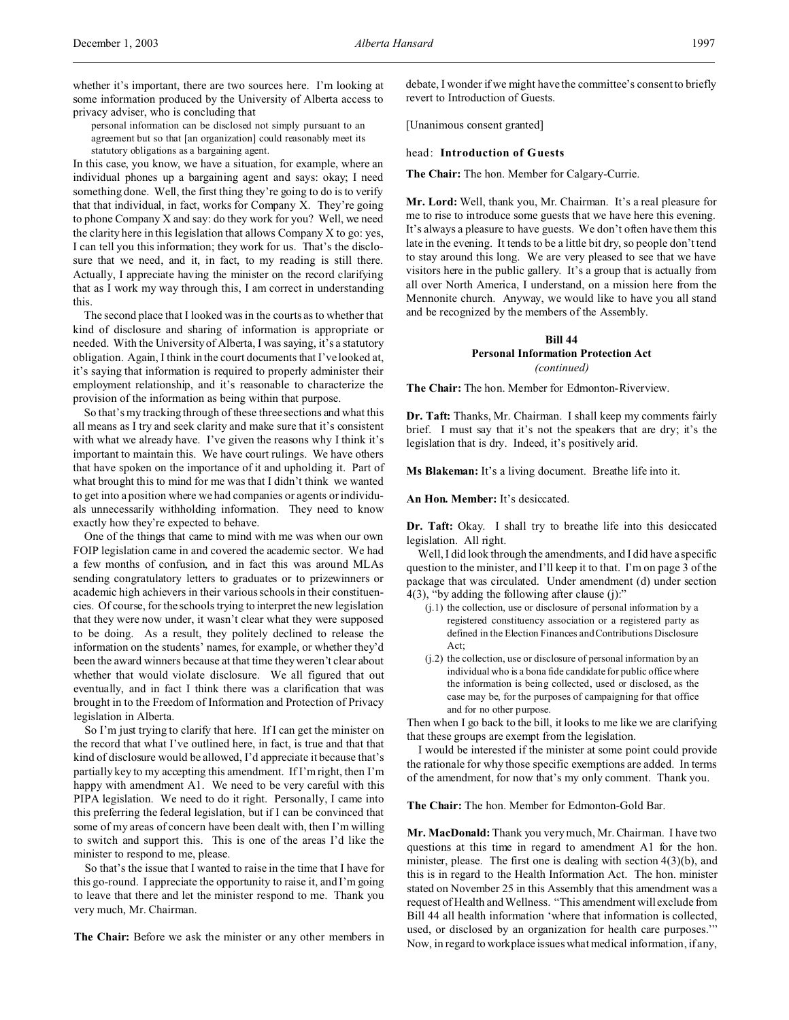whether it's important, there are two sources here. I'm looking at some information produced by the University of Alberta access to privacy adviser, who is concluding that

personal information can be disclosed not simply pursuant to an agreement but so that [an organization] could reasonably meet its statutory obligations as a bargaining agent.

In this case, you know, we have a situation, for example, where an individual phones up a bargaining agent and says: okay; I need something done. Well, the first thing they're going to do is to verify that that individual, in fact, works for Company X. They're going to phone Company X and say: do they work for you? Well, we need the clarity here in this legislation that allows Company X to go: yes, I can tell you this information; they work for us. That's the disclosure that we need, and it, in fact, to my reading is still there. Actually, I appreciate having the minister on the record clarifying that as I work my way through this, I am correct in understanding this.

The second place that I looked was in the courts as to whether that kind of disclosure and sharing of information is appropriate or needed. With the University of Alberta, I was saying, it's a statutory obligation. Again, I think in the court documents that I've looked at, it's saying that information is required to properly administer their employment relationship, and it's reasonable to characterize the provision of the information as being within that purpose.

So that's my tracking through of these three sections and what this all means as I try and seek clarity and make sure that it's consistent with what we already have. I've given the reasons why I think it's important to maintain this. We have court rulings. We have others that have spoken on the importance of it and upholding it. Part of what brought this to mind for me was that I didn't think we wanted to get into a position where we had companies or agents or individuals unnecessarily withholding information. They need to know exactly how they're expected to behave.

One of the things that came to mind with me was when our own FOIP legislation came in and covered the academic sector. We had a few months of confusion, and in fact this was around MLAs sending congratulatory letters to graduates or to prizewinners or academic high achievers in their various schools in their constituencies. Of course, for the schools trying to interpret the new legislation that they were now under, it wasn't clear what they were supposed to be doing. As a result, they politely declined to release the information on the students' names, for example, or whether they'd been the award winners because at that time they weren't clear about whether that would violate disclosure. We all figured that out eventually, and in fact I think there was a clarification that was brought in to the Freedom of Information and Protection of Privacy legislation in Alberta.

So I'm just trying to clarify that here. If I can get the minister on the record that what I've outlined here, in fact, is true and that that kind of disclosure would be allowed, I'd appreciate it because that's partially key to my accepting this amendment. If I'm right, then I'm happy with amendment A1. We need to be very careful with this PIPA legislation. We need to do it right. Personally, I came into this preferring the federal legislation, but if I can be convinced that some of my areas of concern have been dealt with, then I'm willing to switch and support this. This is one of the areas I'd like the minister to respond to me, please.

So that's the issue that I wanted to raise in the time that I have for this go-round. I appreciate the opportunity to raise it, and I'm going to leave that there and let the minister respond to me. Thank you very much, Mr. Chairman.

**The Chair:** Before we ask the minister or any other members in

debate, I wonder if we might have the committee's consent to briefly revert to Introduction of Guests.

[Unanimous consent granted]

#### head: **Introduction of Guests**

**The Chair:** The hon. Member for Calgary-Currie.

**Mr. Lord:** Well, thank you, Mr. Chairman. It's a real pleasure for me to rise to introduce some guests that we have here this evening. It's always a pleasure to have guests. We don't often have them this late in the evening. It tends to be a little bit dry, so people don't tend to stay around this long. We are very pleased to see that we have visitors here in the public gallery. It's a group that is actually from all over North America, I understand, on a mission here from the Mennonite church. Anyway, we would like to have you all stand and be recognized by the members of the Assembly.

## **Bill 44 Personal Information Protection Act** *(continued)*

**The Chair:** The hon. Member for Edmonton-Riverview.

**Dr. Taft:** Thanks, Mr. Chairman. I shall keep my comments fairly brief. I must say that it's not the speakers that are dry; it's the legislation that is dry. Indeed, it's positively arid.

**Ms Blakeman:** It's a living document. Breathe life into it.

**An Hon. Member:** It's desiccated.

**Dr. Taft:** Okay. I shall try to breathe life into this desiccated legislation. All right.

Well, I did look through the amendments, and I did have a specific question to the minister, and I'll keep it to that. I'm on page 3 of the package that was circulated. Under amendment (d) under section 4(3), "by adding the following after clause (j):"

- (j.1) the collection, use or disclosure of personal information by a registered constituency association or a registered party as defined in the Election Finances and Contributions Disclosure Act;
- (j.2) the collection, use or disclosure of personal information by an individual who is a bona fide candidate for public office where the information is being collected, used or disclosed, as the case may be, for the purposes of campaigning for that office and for no other purpose.

Then when I go back to the bill, it looks to me like we are clarifying that these groups are exempt from the legislation.

I would be interested if the minister at some point could provide the rationale for why those specific exemptions are added. In terms of the amendment, for now that's my only comment. Thank you.

**The Chair:** The hon. Member for Edmonton-Gold Bar.

**Mr. MacDonald:** Thank you very much, Mr. Chairman. I have two questions at this time in regard to amendment A1 for the hon. minister, please. The first one is dealing with section 4(3)(b), and this is in regard to the Health Information Act. The hon. minister stated on November 25 in this Assembly that this amendment was a request of Health and Wellness. "This amendment will exclude from Bill 44 all health information 'where that information is collected, used, or disclosed by an organization for health care purposes.'" Now, in regard to workplace issues what medical information, if any,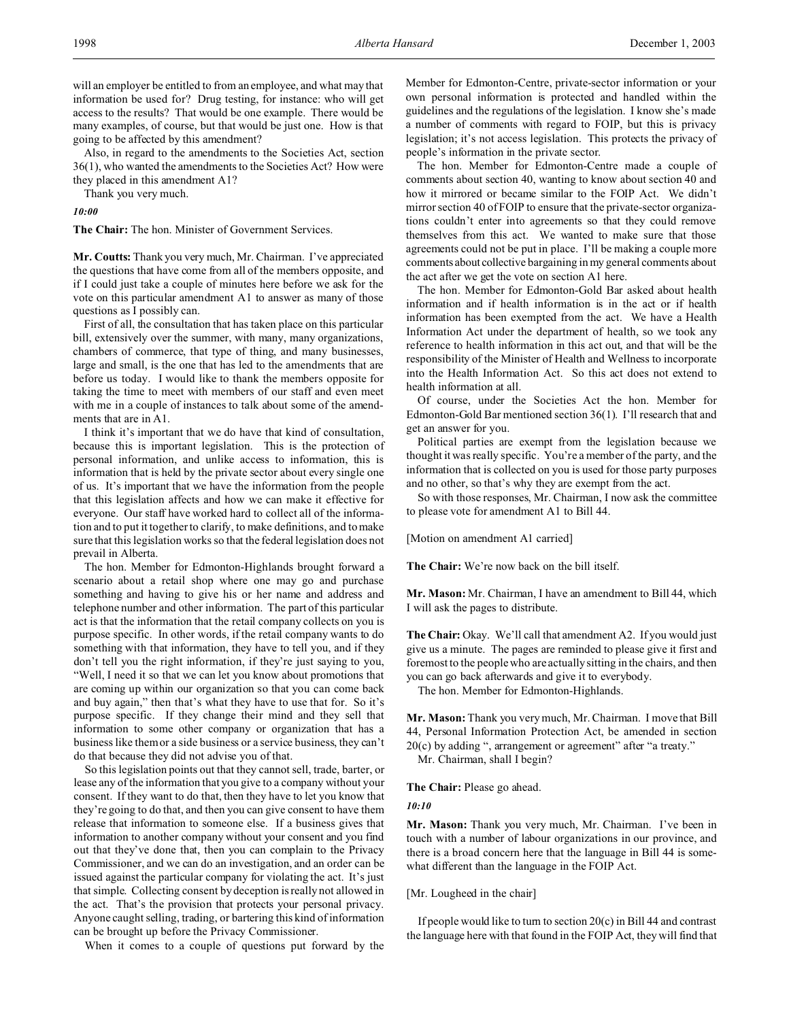will an employer be entitled to from an employee, and what may that information be used for? Drug testing, for instance: who will get access to the results? That would be one example. There would be many examples, of course, but that would be just one. How is that going to be affected by this amendment?

Also, in regard to the amendments to the Societies Act, section 36(1), who wanted the amendments to the Societies Act? How were they placed in this amendment A1?

Thank you very much.

*10:00*

**The Chair:** The hon. Minister of Government Services.

**Mr. Coutts:** Thank you very much, Mr. Chairman. I've appreciated the questions that have come from all of the members opposite, and if I could just take a couple of minutes here before we ask for the vote on this particular amendment A1 to answer as many of those questions as I possibly can.

First of all, the consultation that has taken place on this particular bill, extensively over the summer, with many, many organizations, chambers of commerce, that type of thing, and many businesses, large and small, is the one that has led to the amendments that are before us today. I would like to thank the members opposite for taking the time to meet with members of our staff and even meet with me in a couple of instances to talk about some of the amendments that are in A1.

I think it's important that we do have that kind of consultation, because this is important legislation. This is the protection of personal information, and unlike access to information, this is information that is held by the private sector about every single one of us. It's important that we have the information from the people that this legislation affects and how we can make it effective for everyone. Our staff have worked hard to collect all of the information and to put it together to clarify, to make definitions, and to make sure that this legislation works so that the federal legislation does not prevail in Alberta.

The hon. Member for Edmonton-Highlands brought forward a scenario about a retail shop where one may go and purchase something and having to give his or her name and address and telephone number and other information. The part of this particular act is that the information that the retail company collects on you is purpose specific. In other words, if the retail company wants to do something with that information, they have to tell you, and if they don't tell you the right information, if they're just saying to you, "Well, I need it so that we can let you know about promotions that are coming up within our organization so that you can come back and buy again," then that's what they have to use that for. So it's purpose specific. If they change their mind and they sell that information to some other company or organization that has a business like them or a side business or a service business, they can't do that because they did not advise you of that.

So this legislation points out that they cannot sell, trade, barter, or lease any of the information that you give to a company without your consent. If they want to do that, then they have to let you know that they're going to do that, and then you can give consent to have them release that information to someone else. If a business gives that information to another company without your consent and you find out that they've done that, then you can complain to the Privacy Commissioner, and we can do an investigation, and an order can be issued against the particular company for violating the act. It's just that simple. Collecting consent by deception is really not allowed in the act. That's the provision that protects your personal privacy. Anyone caught selling, trading, or bartering this kind of information can be brought up before the Privacy Commissioner.

When it comes to a couple of questions put forward by the

Member for Edmonton-Centre, private-sector information or your own personal information is protected and handled within the guidelines and the regulations of the legislation. I know she's made a number of comments with regard to FOIP, but this is privacy legislation; it's not access legislation. This protects the privacy of people's information in the private sector.

The hon. Member for Edmonton-Centre made a couple of comments about section 40, wanting to know about section 40 and how it mirrored or became similar to the FOIP Act. We didn't mirror section 40 of FOIP to ensure that the private-sector organizations couldn't enter into agreements so that they could remove themselves from this act. We wanted to make sure that those agreements could not be put in place. I'll be making a couple more comments about collective bargaining in my general comments about the act after we get the vote on section A1 here.

The hon. Member for Edmonton-Gold Bar asked about health information and if health information is in the act or if health information has been exempted from the act. We have a Health Information Act under the department of health, so we took any reference to health information in this act out, and that will be the responsibility of the Minister of Health and Wellness to incorporate into the Health Information Act. So this act does not extend to health information at all.

Of course, under the Societies Act the hon. Member for Edmonton-Gold Bar mentioned section 36(1). I'll research that and get an answer for you.

Political parties are exempt from the legislation because we thought it was really specific. You're a member of the party, and the information that is collected on you is used for those party purposes and no other, so that's why they are exempt from the act.

So with those responses, Mr. Chairman, I now ask the committee to please vote for amendment A1 to Bill 44.

[Motion on amendment A1 carried]

**The Chair:** We're now back on the bill itself.

**Mr. Mason:** Mr. Chairman, I have an amendment to Bill 44, which I will ask the pages to distribute.

**The Chair:** Okay. We'll call that amendment A2. If you would just give us a minute. The pages are reminded to please give it first and foremost to the people who are actually sitting in the chairs, and then you can go back afterwards and give it to everybody.

The hon. Member for Edmonton-Highlands.

**Mr. Mason:** Thank you very much, Mr. Chairman. I move that Bill 44, Personal Information Protection Act, be amended in section 20(c) by adding ", arrangement or agreement" after "a treaty."

Mr. Chairman, shall I begin?

**The Chair:** Please go ahead.

*10:10*

**Mr. Mason:** Thank you very much, Mr. Chairman. I've been in touch with a number of labour organizations in our province, and there is a broad concern here that the language in Bill 44 is somewhat different than the language in the FOIP Act.

# [Mr. Lougheed in the chair]

If people would like to turn to section 20(c) in Bill 44 and contrast the language here with that found in the FOIP Act, they will find that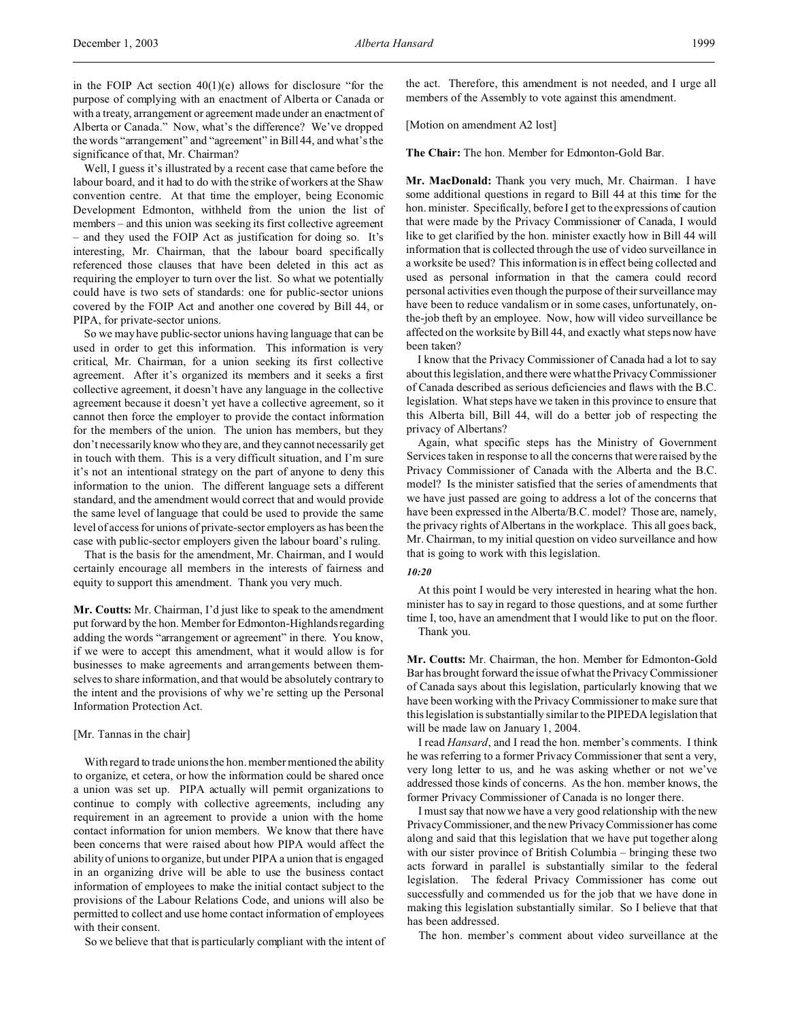significance of that, Mr. Chairman? Well, I guess it's illustrated by a recent case that came before the labour board, and it had to do with the strike of workers at the Shaw convention centre. At that time the employer, being Economic Development Edmonton, withheld from the union the list of members – and this union was seeking its first collective agreement – and they used the FOIP Act as justification for doing so. It's interesting, Mr. Chairman, that the labour board specifically referenced those clauses that have been deleted in this act as requiring the employer to turn over the list. So what we potentially could have is two sets of standards: one for public-sector unions covered by the FOIP Act and another one covered by Bill 44, or PIPA, for private-sector unions.

So we may have public-sector unions having language that can be used in order to get this information. This information is very critical, Mr. Chairman, for a union seeking its first collective agreement. After it's organized its members and it seeks a first collective agreement, it doesn't have any language in the collective agreement because it doesn't yet have a collective agreement, so it cannot then force the employer to provide the contact information for the members of the union. The union has members, but they don't necessarily know who they are, and they cannot necessarily get in touch with them. This is a very difficult situation, and I'm sure it's not an intentional strategy on the part of anyone to deny this information to the union. The different language sets a different standard, and the amendment would correct that and would provide the same level of language that could be used to provide the same level of access for unions of private-sector employers as has been the case with public-sector employers given the labour board's ruling.

That is the basis for the amendment, Mr. Chairman, and I would certainly encourage all members in the interests of fairness and equity to support this amendment. Thank you very much.

**Mr. Coutts:** Mr. Chairman, I'd just like to speak to the amendment put forward by the hon. Member for Edmonton-Highlands regarding adding the words "arrangement or agreement" in there. You know, if we were to accept this amendment, what it would allow is for businesses to make agreements and arrangements between themselves to share information, and that would be absolutely contrary to the intent and the provisions of why we're setting up the Personal Information Protection Act.

## [Mr. Tannas in the chair]

With regard to trade unions the hon. member mentioned the ability to organize, et cetera, or how the information could be shared once a union was set up. PIPA actually will permit organizations to continue to comply with collective agreements, including any requirement in an agreement to provide a union with the home contact information for union members. We know that there have been concerns that were raised about how PIPA would affect the ability of unions to organize, but under PIPA a union that is engaged in an organizing drive will be able to use the business contact information of employees to make the initial contact subject to the provisions of the Labour Relations Code, and unions will also be permitted to collect and use home contact information of employees with their consent.

So we believe that that is particularly compliant with the intent of

the act. Therefore, this amendment is not needed, and I urge all members of the Assembly to vote against this amendment.

[Motion on amendment A2 lost]

**The Chair:** The hon. Member for Edmonton-Gold Bar.

**Mr. MacDonald:** Thank you very much, Mr. Chairman. I have some additional questions in regard to Bill 44 at this time for the hon. minister. Specifically, before I get to the expressions of caution that were made by the Privacy Commissioner of Canada, I would like to get clarified by the hon. minister exactly how in Bill 44 will information that is collected through the use of video surveillance in a worksite be used? This information is in effect being collected and used as personal information in that the camera could record personal activities even though the purpose of their surveillance may have been to reduce vandalism or in some cases, unfortunately, onthe-job theft by an employee. Now, how will video surveillance be affected on the worksite by Bill 44, and exactly what steps now have been taken?

I know that the Privacy Commissioner of Canada had a lot to say about this legislation, and there were what thePrivacy Commissioner of Canada described as serious deficiencies and flaws with the B.C. legislation. What steps have we taken in this province to ensure that this Alberta bill, Bill 44, will do a better job of respecting the privacy of Albertans?

Again, what specific steps has the Ministry of Government Services taken in response to all the concerns that were raised by the Privacy Commissioner of Canada with the Alberta and the B.C. model? Is the minister satisfied that the series of amendments that we have just passed are going to address a lot of the concerns that have been expressed in the Alberta/B.C. model? Those are, namely, the privacy rights of Albertans in the workplace. This all goes back, Mr. Chairman, to my initial question on video surveillance and how that is going to work with this legislation.

## *10:20*

At this point I would be very interested in hearing what the hon. minister has to say in regard to those questions, and at some further time I, too, have an amendment that I would like to put on the floor. Thank you.

**Mr. Coutts:** Mr. Chairman, the hon. Member for Edmonton-Gold Bar has brought forward the issue of what the Privacy Commissioner of Canada says about this legislation, particularly knowing that we have been working with the Privacy Commissioner to make sure that this legislation is substantially similar to the PIPEDA legislation that will be made law on January 1, 2004.

I read *Hansard*, and I read the hon. member's comments. I think he was referring to a former Privacy Commissioner that sent a very, very long letter to us, and he was asking whether or not we've addressed those kinds of concerns. As the hon. member knows, the former Privacy Commissioner of Canada is no longer there.

I must say that now we have a very good relationship with the new PrivacyCommissioner, and the new Privacy Commissioner has come along and said that this legislation that we have put together along with our sister province of British Columbia – bringing these two acts forward in parallel is substantially similar to the federal legislation. The federal Privacy Commissioner has come out successfully and commended us for the job that we have done in making this legislation substantially similar. So I believe that that has been addressed.

The hon. member's comment about video surveillance at the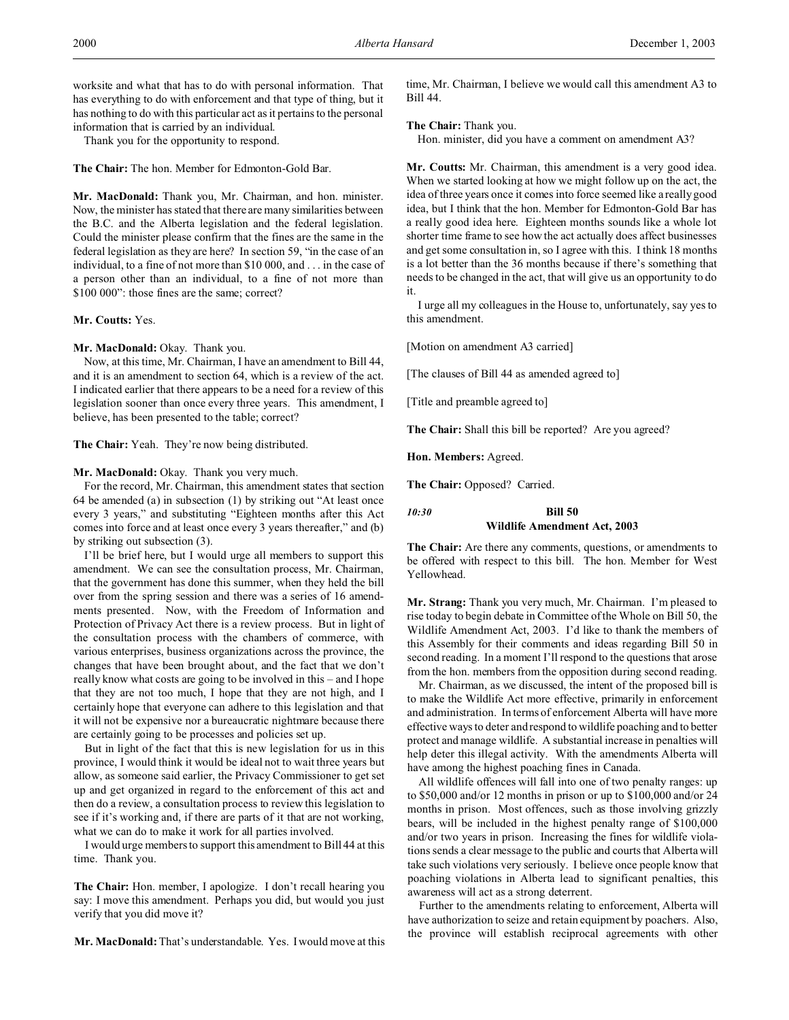worksite and what that has to do with personal information. That has everything to do with enforcement and that type of thing, but it has nothing to do with this particular act as it pertains to the personal information that is carried by an individual.

Thank you for the opportunity to respond.

**The Chair:** The hon. Member for Edmonton-Gold Bar.

**Mr. MacDonald:** Thank you, Mr. Chairman, and hon. minister. Now, the minister has stated that there are many similarities between the B.C. and the Alberta legislation and the federal legislation. Could the minister please confirm that the fines are the same in the federal legislation as they are here? In section 59, "in the case of an individual, to a fine of not more than \$10 000, and . . . in the case of a person other than an individual, to a fine of not more than \$100 000": those fines are the same; correct?

### **Mr. Coutts:** Yes.

Mr. MacDonald: Okay. Thank you.

Now, at this time, Mr. Chairman, I have an amendment to Bill 44, and it is an amendment to section 64, which is a review of the act. I indicated earlier that there appears to be a need for a review of this legislation sooner than once every three years. This amendment, I believe, has been presented to the table; correct?

**The Chair:** Yeah. They're now being distributed.

## Mr. MacDonald: Okay. Thank you very much.

For the record, Mr. Chairman, this amendment states that section 64 be amended (a) in subsection (1) by striking out "At least once every 3 years," and substituting "Eighteen months after this Act comes into force and at least once every 3 years thereafter," and (b) by striking out subsection (3).

I'll be brief here, but I would urge all members to support this amendment. We can see the consultation process, Mr. Chairman, that the government has done this summer, when they held the bill over from the spring session and there was a series of 16 amendments presented. Now, with the Freedom of Information and Protection of Privacy Act there is a review process. But in light of the consultation process with the chambers of commerce, with various enterprises, business organizations across the province, the changes that have been brought about, and the fact that we don't really know what costs are going to be involved in this – and I hope that they are not too much, I hope that they are not high, and I certainly hope that everyone can adhere to this legislation and that it will not be expensive nor a bureaucratic nightmare because there are certainly going to be processes and policies set up.

But in light of the fact that this is new legislation for us in this province, I would think it would be ideal not to wait three years but allow, as someone said earlier, the Privacy Commissioner to get set up and get organized in regard to the enforcement of this act and then do a review, a consultation process to review this legislation to see if it's working and, if there are parts of it that are not working, what we can do to make it work for all parties involved.

I would urge members to support this amendment to Bill 44 at this time. Thank you.

**The Chair:** Hon. member, I apologize. I don't recall hearing you say: I move this amendment. Perhaps you did, but would you just verify that you did move it?

**Mr. MacDonald:** That's understandable. Yes. I would move at this

time, Mr. Chairman, I believe we would call this amendment A3 to Bill 44.

## **The Chair:** Thank you.

Hon. minister, did you have a comment on amendment A3?

**Mr. Coutts:** Mr. Chairman, this amendment is a very good idea. When we started looking at how we might follow up on the act, the idea of three years once it comes into force seemed like a really good idea, but I think that the hon. Member for Edmonton-Gold Bar has a really good idea here. Eighteen months sounds like a whole lot shorter time frame to see how the act actually does affect businesses and get some consultation in, so I agree with this. I think 18 months is a lot better than the 36 months because if there's something that needs to be changed in the act, that will give us an opportunity to do it.

I urge all my colleagues in the House to, unfortunately, say yes to this amendment.

[Motion on amendment A3 carried]

[The clauses of Bill 44 as amended agreed to]

[Title and preamble agreed to]

**The Chair:** Shall this bill be reported? Are you agreed?

**Hon. Members:** Agreed.

**The Chair:** Opposed? Carried.

*10:30* **Bill 50**

# **Wildlife Amendment Act, 2003**

**The Chair:** Are there any comments, questions, or amendments to be offered with respect to this bill. The hon. Member for West Yellowhead.

**Mr. Strang:** Thank you very much, Mr. Chairman. I'm pleased to rise today to begin debate in Committee of the Whole on Bill 50, the Wildlife Amendment Act, 2003. I'd like to thank the members of this Assembly for their comments and ideas regarding Bill 50 in second reading. In a moment I'll respond to the questions that arose from the hon. members from the opposition during second reading.

Mr. Chairman, as we discussed, the intent of the proposed bill is to make the Wildlife Act more effective, primarily in enforcement and administration. In terms of enforcement Alberta will have more effective ways to deter and respond to wildlife poaching and to better protect and manage wildlife. A substantial increase in penalties will help deter this illegal activity. With the amendments Alberta will have among the highest poaching fines in Canada.

All wildlife offences will fall into one of two penalty ranges: up to \$50,000 and/or 12 months in prison or up to \$100,000 and/or 24 months in prison. Most offences, such as those involving grizzly bears, will be included in the highest penalty range of \$100,000 and/or two years in prison. Increasing the fines for wildlife violations sends a clear message to the public and courts that Alberta will take such violations very seriously. I believe once people know that poaching violations in Alberta lead to significant penalties, this awareness will act as a strong deterrent.

Further to the amendments relating to enforcement, Alberta will have authorization to seize and retain equipment by poachers. Also, the province will establish reciprocal agreements with other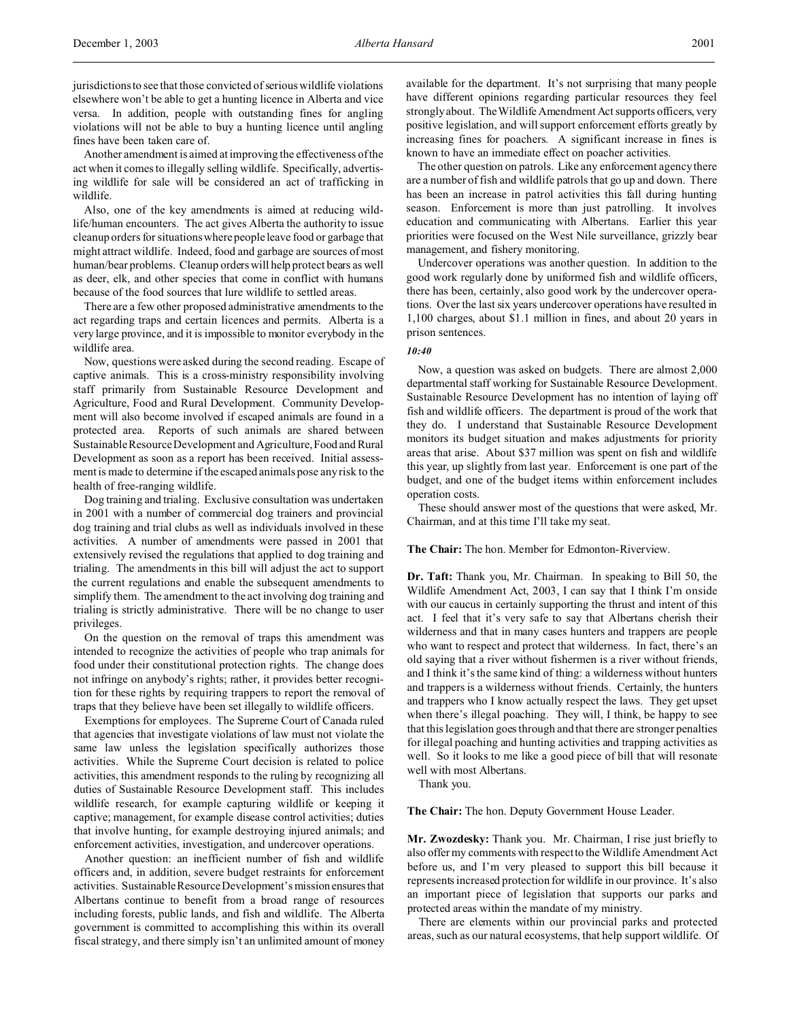Another amendment is aimed at improving the effectiveness of the act when it comes to illegally selling wildlife. Specifically, advertising wildlife for sale will be considered an act of trafficking in wildlife.

Also, one of the key amendments is aimed at reducing wildlife/human encounters. The act gives Alberta the authority to issue cleanup orders for situations where people leave food or garbage that might attract wildlife. Indeed, food and garbage are sources of most human/bear problems. Cleanup orders will help protect bears as well as deer, elk, and other species that come in conflict with humans because of the food sources that lure wildlife to settled areas.

There are a few other proposed administrative amendments to the act regarding traps and certain licences and permits. Alberta is a very large province, and it is impossible to monitor everybody in the wildlife area.

Now, questions were asked during the second reading. Escape of captive animals. This is a cross-ministry responsibility involving staff primarily from Sustainable Resource Development and Agriculture, Food and Rural Development. Community Development will also become involved if escaped animals are found in a protected area. Reports of such animals are shared between Sustainable Resource Development and Agriculture, Food and Rural Development as soon as a report has been received. Initial assessment is made to determine if the escaped animals pose any risk to the health of free-ranging wildlife.

Dog training and trialing. Exclusive consultation was undertaken in 2001 with a number of commercial dog trainers and provincial dog training and trial clubs as well as individuals involved in these activities. A number of amendments were passed in 2001 that extensively revised the regulations that applied to dog training and trialing. The amendments in this bill will adjust the act to support the current regulations and enable the subsequent amendments to simplify them. The amendment to the act involving dog training and trialing is strictly administrative. There will be no change to user privileges.

On the question on the removal of traps this amendment was intended to recognize the activities of people who trap animals for food under their constitutional protection rights. The change does not infringe on anybody's rights; rather, it provides better recognition for these rights by requiring trappers to report the removal of traps that they believe have been set illegally to wildlife officers.

Exemptions for employees. The Supreme Court of Canada ruled that agencies that investigate violations of law must not violate the same law unless the legislation specifically authorizes those activities. While the Supreme Court decision is related to police activities, this amendment responds to the ruling by recognizing all duties of Sustainable Resource Development staff. This includes wildlife research, for example capturing wildlife or keeping it captive; management, for example disease control activities; duties that involve hunting, for example destroying injured animals; and enforcement activities, investigation, and undercover operations.

Another question: an inefficient number of fish and wildlife officers and, in addition, severe budget restraints for enforcement activities. Sustainable Resource Development's mission ensuresthat Albertans continue to benefit from a broad range of resources including forests, public lands, and fish and wildlife. The Alberta government is committed to accomplishing this within its overall fiscal strategy, and there simply isn't an unlimited amount of money available for the department. It's not surprising that many people have different opinions regarding particular resources they feel strongly about. The Wildlife Amendment Act supports officers, very positive legislation, and will support enforcement efforts greatly by increasing fines for poachers. A significant increase in fines is known to have an immediate effect on poacher activities.

The other question on patrols. Like any enforcement agency there are a number of fish and wildlife patrols that go up and down. There has been an increase in patrol activities this fall during hunting season. Enforcement is more than just patrolling. It involves education and communicating with Albertans. Earlier this year priorities were focused on the West Nile surveillance, grizzly bear management, and fishery monitoring.

Undercover operations was another question. In addition to the good work regularly done by uniformed fish and wildlife officers, there has been, certainly, also good work by the undercover operations. Over the last six years undercover operations have resulted in 1,100 charges, about \$1.1 million in fines, and about 20 years in prison sentences.

## *10:40*

Now, a question was asked on budgets. There are almost 2,000 departmental staff working for Sustainable Resource Development. Sustainable Resource Development has no intention of laying off fish and wildlife officers. The department is proud of the work that they do. I understand that Sustainable Resource Development monitors its budget situation and makes adjustments for priority areas that arise. About \$37 million was spent on fish and wildlife this year, up slightly from last year. Enforcement is one part of the budget, and one of the budget items within enforcement includes operation costs.

These should answer most of the questions that were asked, Mr. Chairman, and at this time I'll take my seat.

## **The Chair:** The hon. Member for Edmonton-Riverview.

**Dr. Taft:** Thank you, Mr. Chairman. In speaking to Bill 50, the Wildlife Amendment Act, 2003, I can say that I think I'm onside with our caucus in certainly supporting the thrust and intent of this act. I feel that it's very safe to say that Albertans cherish their wilderness and that in many cases hunters and trappers are people who want to respect and protect that wilderness. In fact, there's an old saying that a river without fishermen is a river without friends, and I think it's the same kind of thing: a wilderness without hunters and trappers is a wilderness without friends. Certainly, the hunters and trappers who I know actually respect the laws. They get upset when there's illegal poaching. They will, I think, be happy to see that this legislation goes through and that there are stronger penalties for illegal poaching and hunting activities and trapping activities as well. So it looks to me like a good piece of bill that will resonate well with most Albertans.

Thank you.

**The Chair:** The hon. Deputy Government House Leader.

**Mr. Zwozdesky:** Thank you. Mr. Chairman, I rise just briefly to also offer my comments with respect to the Wildlife Amendment Act before us, and I'm very pleased to support this bill because it represents increased protection for wildlife in our province. It's also an important piece of legislation that supports our parks and protected areas within the mandate of my ministry.

There are elements within our provincial parks and protected areas, such as our natural ecosystems, that help support wildlife. Of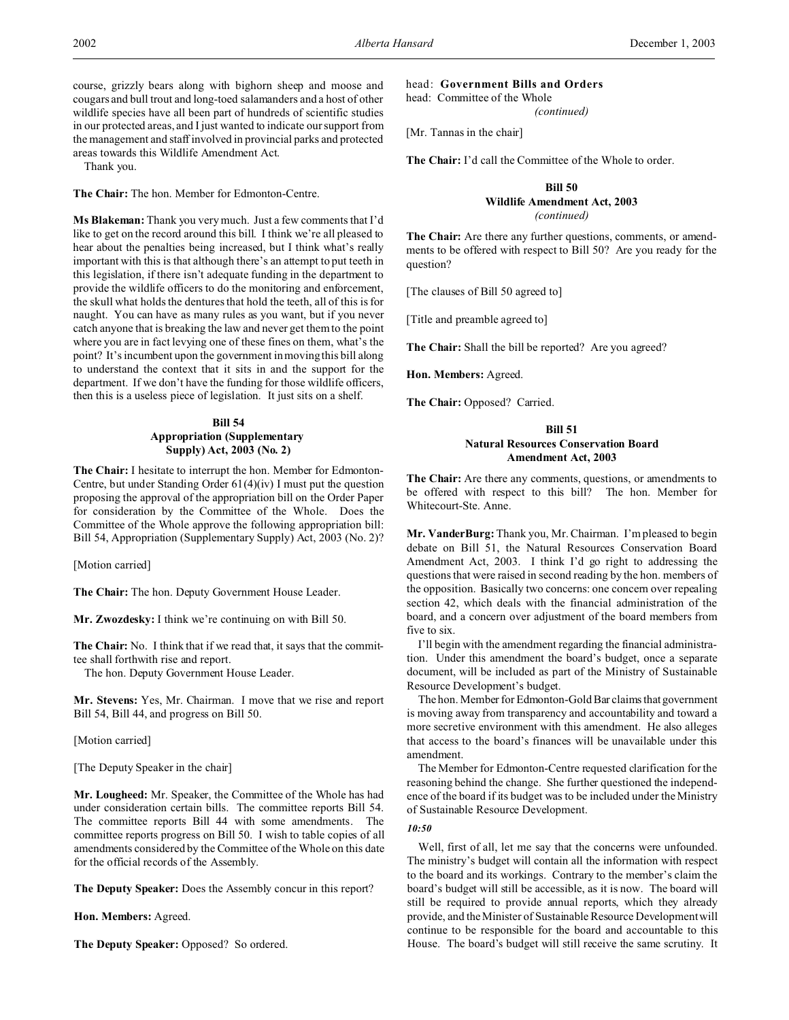course, grizzly bears along with bighorn sheep and moose and cougars and bull trout and long-toed salamanders and a host of other wildlife species have all been part of hundreds of scientific studies in our protected areas, and I just wanted to indicate our support from the management and staff involved in provincial parks and protected areas towards this Wildlife Amendment Act.

Thank you.

**The Chair:** The hon. Member for Edmonton-Centre.

**Ms Blakeman:** Thank you very much. Just a few comments that I'd like to get on the record around this bill. I think we're all pleased to hear about the penalties being increased, but I think what's really important with this is that although there's an attempt to put teeth in this legislation, if there isn't adequate funding in the department to provide the wildlife officers to do the monitoring and enforcement, the skull what holds the dentures that hold the teeth, all of this is for naught. You can have as many rules as you want, but if you never catch anyone that is breaking the law and never get them to the point where you are in fact levying one of these fines on them, what's the point? It's incumbent upon the government in moving this bill along to understand the context that it sits in and the support for the department. If we don't have the funding for those wildlife officers, then this is a useless piece of legislation. It just sits on a shelf.

# **Bill 54 Appropriation (Supplementary Supply) Act, 2003 (No. 2)**

**The Chair:** I hesitate to interrupt the hon. Member for Edmonton-Centre, but under Standing Order 61(4)(iv) I must put the question proposing the approval of the appropriation bill on the Order Paper for consideration by the Committee of the Whole. Does the Committee of the Whole approve the following appropriation bill: Bill 54, Appropriation (Supplementary Supply) Act, 2003 (No. 2)?

[Motion carried]

**The Chair:** The hon. Deputy Government House Leader.

**Mr. Zwozdesky:** I think we're continuing on with Bill 50.

**The Chair:** No. I think that if we read that, it says that the committee shall forthwith rise and report.

The hon. Deputy Government House Leader.

**Mr. Stevens:** Yes, Mr. Chairman. I move that we rise and report Bill 54, Bill 44, and progress on Bill 50.

[Motion carried]

[The Deputy Speaker in the chair]

**Mr. Lougheed:** Mr. Speaker, the Committee of the Whole has had under consideration certain bills. The committee reports Bill 54. The committee reports Bill 44 with some amendments. The committee reports progress on Bill 50. I wish to table copies of all amendments considered by the Committee of the Whole on this date for the official records of the Assembly.

**The Deputy Speaker:** Does the Assembly concur in this report?

**Hon. Members:** Agreed.

**The Deputy Speaker:** Opposed? So ordered.

head: **Government Bills and Orders**

head: Committee of the Whole

*(continued)*

[Mr. Tannas in the chair]

**The Chair:** I'd call the Committee of the Whole to order.

# **Bill 50 Wildlife Amendment Act, 2003** *(continued)*

**The Chair:** Are there any further questions, comments, or amendments to be offered with respect to Bill 50? Are you ready for the question?

[The clauses of Bill 50 agreed to]

[Title and preamble agreed to]

**The Chair:** Shall the bill be reported? Are you agreed?

**Hon. Members:** Agreed.

**The Chair:** Opposed? Carried.

# **Bill 51 Natural Resources Conservation Board Amendment Act, 2003**

**The Chair:** Are there any comments, questions, or amendments to be offered with respect to this bill? The hon. Member for Whitecourt-Ste. Anne.

**Mr. VanderBurg:** Thank you, Mr. Chairman. I'm pleased to begin debate on Bill 51, the Natural Resources Conservation Board Amendment Act, 2003. I think I'd go right to addressing the questions that were raised in second reading by the hon. members of the opposition. Basically two concerns: one concern over repealing section 42, which deals with the financial administration of the board, and a concern over adjustment of the board members from five to six.

I'll begin with the amendment regarding the financial administration. Under this amendment the board's budget, once a separate document, will be included as part of the Ministry of Sustainable Resource Development's budget.

The hon. Member for Edmonton-Gold Bar claims that government is moving away from transparency and accountability and toward a more secretive environment with this amendment. He also alleges that access to the board's finances will be unavailable under this amendment.

The Member for Edmonton-Centre requested clarification for the reasoning behind the change. She further questioned the independence of the board if its budget was to be included under the Ministry of Sustainable Resource Development.

## *10:50*

Well, first of all, let me say that the concerns were unfounded. The ministry's budget will contain all the information with respect to the board and its workings. Contrary to the member's claim the board's budget will still be accessible, as it is now. The board will still be required to provide annual reports, which they already provide, and the Minister of Sustainable Resource Development will continue to be responsible for the board and accountable to this House. The board's budget will still receive the same scrutiny. It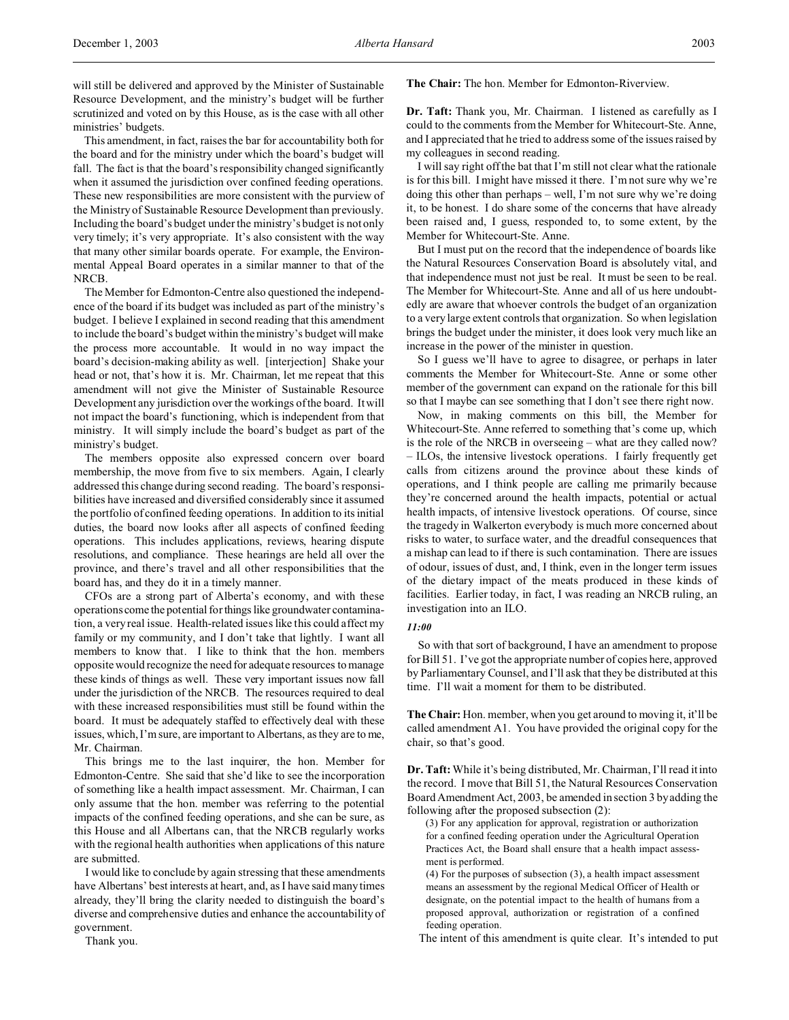This amendment, in fact, raises the bar for accountability both for the board and for the ministry under which the board's budget will fall. The fact is that the board's responsibility changed significantly when it assumed the jurisdiction over confined feeding operations. These new responsibilities are more consistent with the purview of the Ministry of Sustainable Resource Development than previously. Including the board's budget under the ministry's budget is not only very timely; it's very appropriate. It's also consistent with the way that many other similar boards operate. For example, the Environmental Appeal Board operates in a similar manner to that of the NRCB.

The Member for Edmonton-Centre also questioned the independence of the board if its budget was included as part of the ministry's budget. I believe I explained in second reading that this amendment to include the board's budget within the ministry's budget will make the process more accountable. It would in no way impact the board's decision-making ability as well. [interjection] Shake your head or not, that's how it is. Mr. Chairman, let me repeat that this amendment will not give the Minister of Sustainable Resource Development any jurisdiction over the workings of the board. It will not impact the board's functioning, which is independent from that ministry. It will simply include the board's budget as part of the ministry's budget.

The members opposite also expressed concern over board membership, the move from five to six members. Again, I clearly addressed this change during second reading. The board's responsibilities have increased and diversified considerably since it assumed the portfolio of confined feeding operations. In addition to its initial duties, the board now looks after all aspects of confined feeding operations. This includes applications, reviews, hearing dispute resolutions, and compliance. These hearings are held all over the province, and there's travel and all other responsibilities that the board has, and they do it in a timely manner.

CFOs are a strong part of Alberta's economy, and with these operations come the potential for things like groundwater contamination, a very real issue. Health-related issues like this could affect my family or my community, and I don't take that lightly. I want all members to know that. I like to think that the hon. members opposite would recognize the need for adequate resources to manage these kinds of things as well. These very important issues now fall under the jurisdiction of the NRCB. The resources required to deal with these increased responsibilities must still be found within the board. It must be adequately staffed to effectively deal with these issues, which, I'm sure, are important to Albertans, as they are to me, Mr. Chairman.

This brings me to the last inquirer, the hon. Member for Edmonton-Centre. She said that she'd like to see the incorporation of something like a health impact assessment. Mr. Chairman, I can only assume that the hon. member was referring to the potential impacts of the confined feeding operations, and she can be sure, as this House and all Albertans can, that the NRCB regularly works with the regional health authorities when applications of this nature are submitted.

I would like to conclude by again stressing that these amendments have Albertans' best interests at heart, and, as I have said many times already, they'll bring the clarity needed to distinguish the board's diverse and comprehensive duties and enhance the accountability of government.

Thank you.

## **The Chair:** The hon. Member for Edmonton-Riverview.

**Dr. Taft:** Thank you, Mr. Chairman. I listened as carefully as I could to the comments from the Member for Whitecourt-Ste. Anne, and I appreciated that he tried to address some of the issues raised by my colleagues in second reading.

I will say right off the bat that I'm still not clear what the rationale is for this bill. I might have missed it there. I'm not sure why we're doing this other than perhaps – well, I'm not sure why we're doing it, to be honest. I do share some of the concerns that have already been raised and, I guess, responded to, to some extent, by the Member for Whitecourt-Ste. Anne.

But I must put on the record that the independence of boards like the Natural Resources Conservation Board is absolutely vital, and that independence must not just be real. It must be seen to be real. The Member for Whitecourt-Ste. Anne and all of us here undoubtedly are aware that whoever controls the budget of an organization to a very large extent controls that organization. So when legislation brings the budget under the minister, it does look very much like an increase in the power of the minister in question.

So I guess we'll have to agree to disagree, or perhaps in later comments the Member for Whitecourt-Ste. Anne or some other member of the government can expand on the rationale for this bill so that I maybe can see something that I don't see there right now.

Now, in making comments on this bill, the Member for Whitecourt-Ste. Anne referred to something that's come up, which is the role of the NRCB in overseeing – what are they called now? – ILOs, the intensive livestock operations. I fairly frequently get calls from citizens around the province about these kinds of operations, and I think people are calling me primarily because they're concerned around the health impacts, potential or actual health impacts, of intensive livestock operations. Of course, since the tragedy in Walkerton everybody is much more concerned about risks to water, to surface water, and the dreadful consequences that a mishap can lead to if there is such contamination. There are issues of odour, issues of dust, and, I think, even in the longer term issues of the dietary impact of the meats produced in these kinds of facilities. Earlier today, in fact, I was reading an NRCB ruling, an investigation into an ILO.

#### *11:00*

So with that sort of background, I have an amendment to propose for Bill 51. I've got the appropriate number of copies here, approved by Parliamentary Counsel, and I'll ask that they be distributed at this time. I'll wait a moment for them to be distributed.

**The Chair:** Hon. member, when you get around to moving it, it'll be called amendment A1. You have provided the original copy for the chair, so that's good.

**Dr. Taft:**While it's being distributed, Mr. Chairman, I'll read it into the record. I move that Bill 51, the Natural Resources Conservation Board Amendment Act, 2003, be amended in section 3 by adding the following after the proposed subsection (2):

(3) For any application for approval, registration or authorization for a confined feeding operation under the Agricultural Operation Practices Act, the Board shall ensure that a health impact assessment is performed.

(4) For the purposes of subsection (3), a health impact assessment means an assessment by the regional Medical Officer of Health or designate, on the potential impact to the health of humans from a proposed approval, authorization or registration of a confined feeding operation.

The intent of this amendment is quite clear. It's intended to put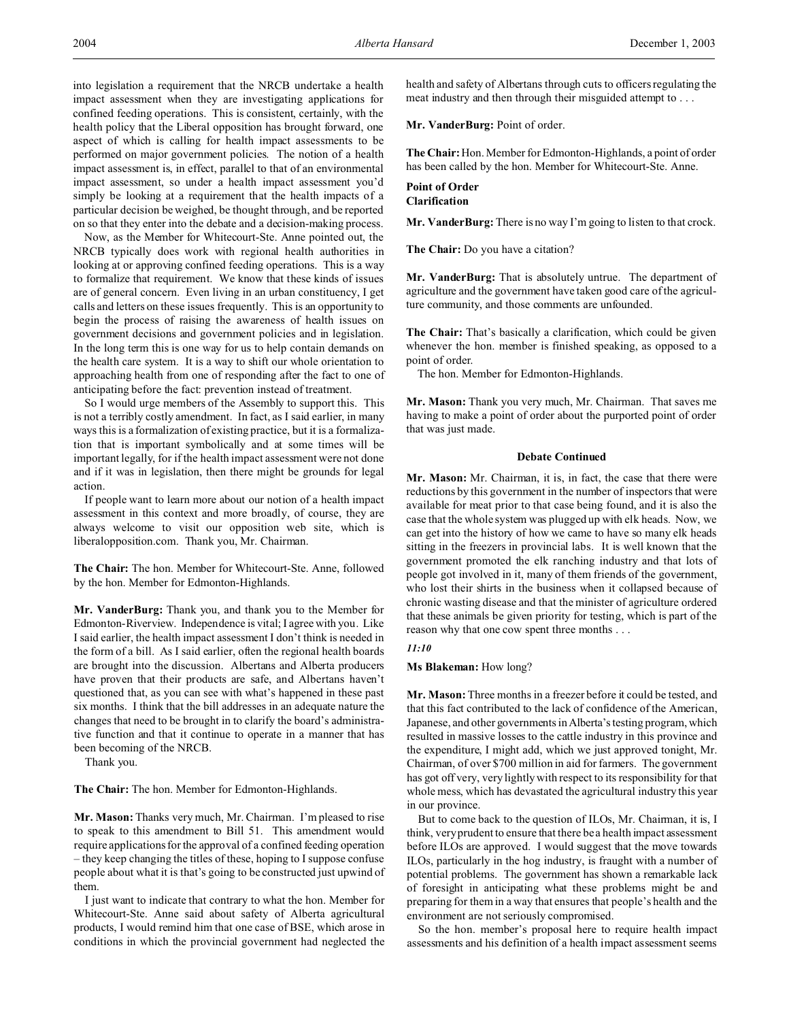into legislation a requirement that the NRCB undertake a health impact assessment when they are investigating applications for confined feeding operations. This is consistent, certainly, with the health policy that the Liberal opposition has brought forward, one aspect of which is calling for health impact assessments to be performed on major government policies. The notion of a health impact assessment is, in effect, parallel to that of an environmental impact assessment, so under a health impact assessment you'd simply be looking at a requirement that the health impacts of a particular decision be weighed, be thought through, and be reported on so that they enter into the debate and a decision-making process.

Now, as the Member for Whitecourt-Ste. Anne pointed out, the NRCB typically does work with regional health authorities in looking at or approving confined feeding operations. This is a way to formalize that requirement. We know that these kinds of issues are of general concern. Even living in an urban constituency, I get calls and letters on these issues frequently. This is an opportunity to begin the process of raising the awareness of health issues on government decisions and government policies and in legislation. In the long term this is one way for us to help contain demands on the health care system. It is a way to shift our whole orientation to approaching health from one of responding after the fact to one of anticipating before the fact: prevention instead of treatment.

So I would urge members of the Assembly to support this. This is not a terribly costly amendment. In fact, as I said earlier, in many ways this is a formalization of existing practice, but it is a formalization that is important symbolically and at some times will be important legally, for if the health impact assessment were not done and if it was in legislation, then there might be grounds for legal action.

If people want to learn more about our notion of a health impact assessment in this context and more broadly, of course, they are always welcome to visit our opposition web site, which is liberalopposition.com. Thank you, Mr. Chairman.

**The Chair:** The hon. Member for Whitecourt-Ste. Anne, followed by the hon. Member for Edmonton-Highlands.

**Mr. VanderBurg:** Thank you, and thank you to the Member for Edmonton-Riverview. Independence is vital; I agree with you. Like I said earlier, the health impact assessment I don't think is needed in the form of a bill. As I said earlier, often the regional health boards are brought into the discussion. Albertans and Alberta producers have proven that their products are safe, and Albertans haven't questioned that, as you can see with what's happened in these past six months. I think that the bill addresses in an adequate nature the changes that need to be brought in to clarify the board's administrative function and that it continue to operate in a manner that has been becoming of the NRCB.

Thank you.

**The Chair:** The hon. Member for Edmonton-Highlands.

**Mr. Mason:** Thanks very much, Mr. Chairman. I'm pleased to rise to speak to this amendment to Bill 51. This amendment would require applications for the approval of a confined feeding operation – they keep changing the titles of these, hoping to I suppose confuse people about what it is that's going to be constructed just upwind of them.

I just want to indicate that contrary to what the hon. Member for Whitecourt-Ste. Anne said about safety of Alberta agricultural products, I would remind him that one case of BSE, which arose in conditions in which the provincial government had neglected the

health and safety of Albertans through cuts to officers regulating the meat industry and then through their misguided attempt to . . .

Mr. VanderBurg: Point of order.

**The Chair:**Hon. Member for Edmonton-Highlands, a point of order has been called by the hon. Member for Whitecourt-Ste. Anne.

# **Point of Order Clarification**

**Mr. VanderBurg:** There is no way I'm going to listen to that crock.

**The Chair:** Do you have a citation?

**Mr. VanderBurg:** That is absolutely untrue. The department of agriculture and the government have taken good care of the agriculture community, and those comments are unfounded.

**The Chair:** That's basically a clarification, which could be given whenever the hon. member is finished speaking, as opposed to a point of order.

The hon. Member for Edmonton-Highlands.

**Mr. Mason:** Thank you very much, Mr. Chairman. That saves me having to make a point of order about the purported point of order that was just made.

#### **Debate Continued**

**Mr. Mason:** Mr. Chairman, it is, in fact, the case that there were reductions by this government in the number of inspectors that were available for meat prior to that case being found, and it is also the case that the whole system was plugged up with elk heads. Now, we can get into the history of how we came to have so many elk heads sitting in the freezers in provincial labs. It is well known that the government promoted the elk ranching industry and that lots of people got involved in it, many of them friends of the government, who lost their shirts in the business when it collapsed because of chronic wasting disease and that the minister of agriculture ordered that these animals be given priority for testing, which is part of the reason why that one cow spent three months . . .

## *11:10*

## **Ms Blakeman:** How long?

**Mr. Mason:** Three months in a freezer before it could be tested, and that this fact contributed to the lack of confidence of the American, Japanese, and other governments in Alberta's testing program, which resulted in massive losses to the cattle industry in this province and the expenditure, I might add, which we just approved tonight, Mr. Chairman, of over \$700 million in aid for farmers. The government has got off very, very lightly with respect to its responsibility for that whole mess, which has devastated the agricultural industry this year in our province.

But to come back to the question of ILOs, Mr. Chairman, it is, I think, very prudent to ensure that there be a health impact assessment before ILOs are approved. I would suggest that the move towards ILOs, particularly in the hog industry, is fraught with a number of potential problems. The government has shown a remarkable lack of foresight in anticipating what these problems might be and preparing for them in a way that ensures that people's health and the environment are not seriously compromised.

So the hon. member's proposal here to require health impact assessments and his definition of a health impact assessment seems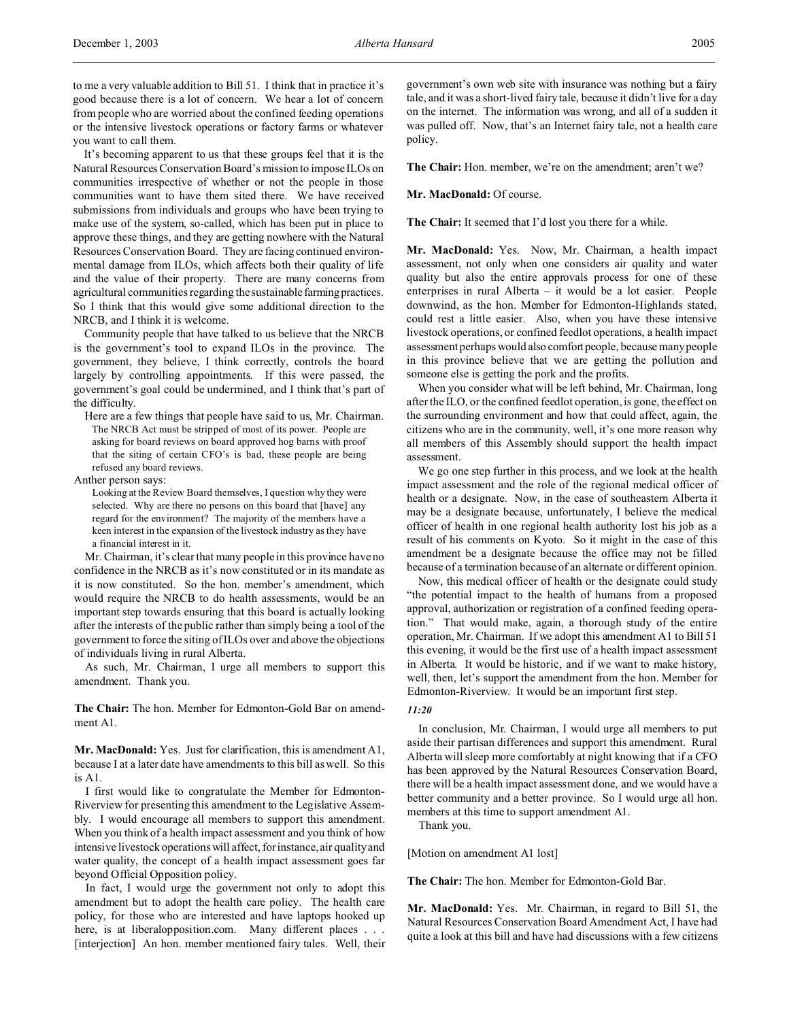It's becoming apparent to us that these groups feel that it is the Natural Resources Conservation Board's mission to impose ILOs on communities irrespective of whether or not the people in those communities want to have them sited there. We have received submissions from individuals and groups who have been trying to make use of the system, so-called, which has been put in place to approve these things, and they are getting nowhere with the Natural Resources Conservation Board. They are facing continued environmental damage from ILOs, which affects both their quality of life and the value of their property. There are many concerns from agricultural communities regarding the sustainable farming practices. So I think that this would give some additional direction to the NRCB, and I think it is welcome.

Community people that have talked to us believe that the NRCB is the government's tool to expand ILOs in the province. The government, they believe, I think correctly, controls the board largely by controlling appointments. If this were passed, the government's goal could be undermined, and I think that's part of the difficulty.

Here are a few things that people have said to us, Mr. Chairman. The NRCB Act must be stripped of most of its power. People are asking for board reviews on board approved hog barns with proof that the siting of certain CFO's is bad, these people are being refused any board reviews.

Anther person says:

Looking at the Review Board themselves, I question why they were selected. Why are there no persons on this board that [have] any regard for the environment? The majority of the members have a keen interest in the expansion of the livestock industry as they have a financial interest in it.

Mr. Chairman, it's clear that many people in this province have no confidence in the NRCB as it's now constituted or in its mandate as it is now constituted. So the hon. member's amendment, which would require the NRCB to do health assessments, would be an important step towards ensuring that this board is actually looking after the interests of the public rather than simply being a tool of the government to force the siting of ILOs over and above the objections of individuals living in rural Alberta.

As such, Mr. Chairman, I urge all members to support this amendment. Thank you.

**The Chair:** The hon. Member for Edmonton-Gold Bar on amendment A1.

**Mr. MacDonald:** Yes. Just for clarification, this is amendment A1, because I at a later date have amendments to this bill as well. So this is A1.

I first would like to congratulate the Member for Edmonton-Riverview for presenting this amendment to the Legislative Assembly. I would encourage all members to support this amendment. When you think of a health impact assessment and you think of how intensive livestock operations will affect, for instance, air quality and water quality, the concept of a health impact assessment goes far beyond Official Opposition policy.

In fact, I would urge the government not only to adopt this amendment but to adopt the health care policy. The health care policy, for those who are interested and have laptops hooked up here, is at liberalopposition.com. Many different places . . . [interjection] An hon. member mentioned fairy tales. Well, their

government's own web site with insurance was nothing but a fairy tale, and it was a short-lived fairy tale, because it didn't live for a day on the internet. The information was wrong, and all of a sudden it was pulled off. Now, that's an Internet fairy tale, not a health care policy.

The Chair: Hon. member, we're on the amendment; aren't we?

## **Mr. MacDonald:** Of course.

**The Chair:** It seemed that I'd lost you there for a while.

**Mr. MacDonald:** Yes. Now, Mr. Chairman, a health impact assessment, not only when one considers air quality and water quality but also the entire approvals process for one of these enterprises in rural Alberta – it would be a lot easier. People downwind, as the hon. Member for Edmonton-Highlands stated, could rest a little easier. Also, when you have these intensive livestock operations, or confined feedlot operations, a health impact assessment perhaps would also comfort people, because many people in this province believe that we are getting the pollution and someone else is getting the pork and the profits.

When you consider what will be left behind, Mr. Chairman, long after the ILO, or the confined feedlot operation, is gone, the effect on the surrounding environment and how that could affect, again, the citizens who are in the community, well, it's one more reason why all members of this Assembly should support the health impact assessment.

We go one step further in this process, and we look at the health impact assessment and the role of the regional medical officer of health or a designate. Now, in the case of southeastern Alberta it may be a designate because, unfortunately, I believe the medical officer of health in one regional health authority lost his job as a result of his comments on Kyoto. So it might in the case of this amendment be a designate because the office may not be filled because of a termination because of an alternate or different opinion.

Now, this medical officer of health or the designate could study "the potential impact to the health of humans from a proposed approval, authorization or registration of a confined feeding operation." That would make, again, a thorough study of the entire operation, Mr. Chairman. If we adopt this amendment A1 to Bill 51 this evening, it would be the first use of a health impact assessment in Alberta. It would be historic, and if we want to make history, well, then, let's support the amendment from the hon. Member for Edmonton-Riverview. It would be an important first step.

## *11:20*

In conclusion, Mr. Chairman, I would urge all members to put aside their partisan differences and support this amendment. Rural Alberta will sleep more comfortably at night knowing that if a CFO has been approved by the Natural Resources Conservation Board, there will be a health impact assessment done, and we would have a better community and a better province. So I would urge all hon. members at this time to support amendment A1.

Thank you.

[Motion on amendment A1 lost]

**The Chair:** The hon. Member for Edmonton-Gold Bar.

**Mr. MacDonald:** Yes. Mr. Chairman, in regard to Bill 51, the Natural Resources Conservation Board Amendment Act, I have had quite a look at this bill and have had discussions with a few citizens